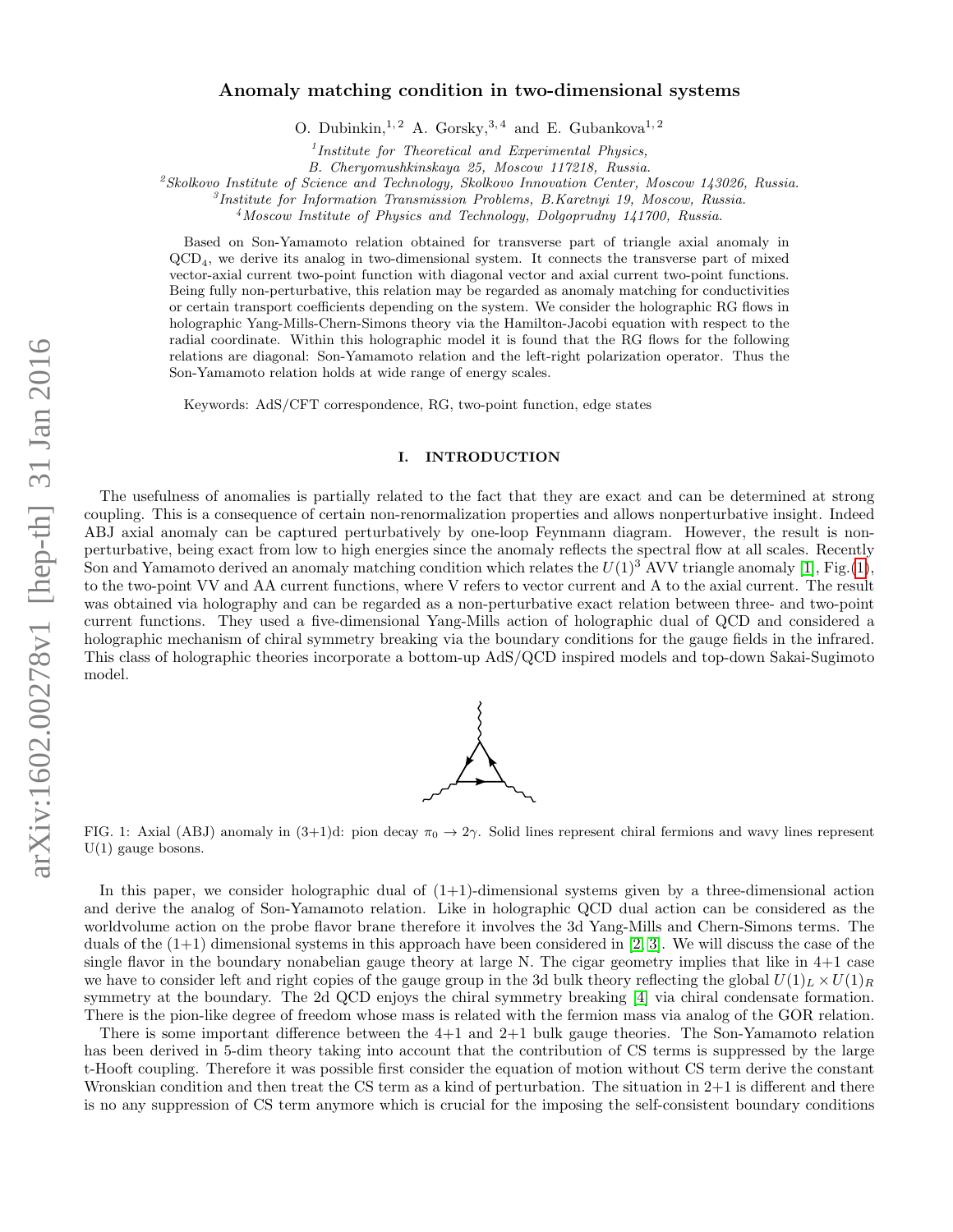# Anomaly matching condition in two-dimensional systems

O. Dubinkin,<sup>1,2</sup> A. Gorsky,<sup>3,4</sup> and E. Gubankova<sup>1,2</sup>

<sup>1</sup>Institute for Theoretical and Experimental Physics,

B. Cheryomushkinskaya 25, Moscow 117218, Russia.

<sup>2</sup>Skolkovo Institute of Science and Technology, Skolkovo Innovation Center, Moscow 143026, Russia.

3 Institute for Information Transmission Problems, B.Karetnyi 19, Moscow, Russia.

<sup>4</sup>Moscow Institute of Physics and Technology, Dolgoprudny 141700, Russia.

Based on Son-Yamamoto relation obtained for transverse part of triangle axial anomaly in QCD<sup>4</sup> , we derive its analog in two-dimensional system. It connects the transverse part of mixed vector-axial current two-point function with diagonal vector and axial current two-point functions. Being fully non-perturbative, this relation may be regarded as anomaly matching for conductivities or certain transport coefficients depending on the system. We consider the holographic RG flows in holographic Yang-Mills-Chern-Simons theory via the Hamilton-Jacobi equation with respect to the radial coordinate. Within this holographic model it is found that the RG flows for the following relations are diagonal: Son-Yamamoto relation and the left-right polarization operator. Thus the Son-Yamamoto relation holds at wide range of energy scales.

Keywords: AdS/CFT correspondence, RG, two-point function, edge states

### I. INTRODUCTION

The usefulness of anomalies is partially related to the fact that they are exact and can be determined at strong coupling. This is a consequence of certain non-renormalization properties and allows nonperturbative insight. Indeed ABJ axial anomaly can be captured perturbatively by one-loop Feynmann diagram. However, the result is nonperturbative, being exact from low to high energies since the anomaly reflects the spectral flow at all scales. Recently Son and Yamamoto derived an anomaly matching condition which relates the  $U(1)^3$  $U(1)^3$  $U(1)^3$  AVV triangle anomaly [\[1\]](#page-20-0), Fig.(1), to the two-point VV and AA current functions, where V refers to vector current and A to the axial current. The result was obtained via holography and can be regarded as a non-perturbative exact relation between three- and two-point current functions. They used a five-dimensional Yang-Mills action of holographic dual of QCD and considered a holographic mechanism of chiral symmetry breaking via the boundary conditions for the gauge fields in the infrared. This class of holographic theories incorporate a bottom-up AdS/QCD inspired models and top-down Sakai-Sugimoto model.



<span id="page-0-0"></span>FIG. 1: Axial (ABJ) anomaly in  $(3+1)d$ : pion decay  $\pi_0 \to 2\gamma$ . Solid lines represent chiral fermions and wavy lines represent U(1) gauge bosons.

In this paper, we consider holographic dual of  $(1+1)$ -dimensional systems given by a three-dimensional action and derive the analog of Son-Yamamoto relation. Like in holographic QCD dual action can be considered as the worldvolume action on the probe flavor brane therefore it involves the 3d Yang-Mills and Chern-Simons terms. The duals of the  $(1+1)$  dimensional systems in this approach have been considered in [\[2,](#page-20-1) [3\]](#page-20-2). We will discuss the case of the single flavor in the boundary nonabelian gauge theory at large N. The cigar geometry implies that like in 4+1 case we have to consider left and right copies of the gauge group in the 3d bulk theory reflecting the global  $U(1)_L \times U(1)_R$ symmetry at the boundary. The 2d QCD enjoys the chiral symmetry breaking [\[4\]](#page-20-3) via chiral condensate formation. There is the pion-like degree of freedom whose mass is related with the fermion mass via analog of the GOR relation.

There is some important difference between the 4+1 and 2+1 bulk gauge theories. The Son-Yamamoto relation has been derived in 5-dim theory taking into account that the contribution of CS terms is suppressed by the large t-Hooft coupling. Therefore it was possible first consider the equation of motion without CS term derive the constant Wronskian condition and then treat the CS term as a kind of perturbation. The situation in 2+1 is different and there is no any suppression of CS term anymore which is crucial for the imposing the self-consistent boundary conditions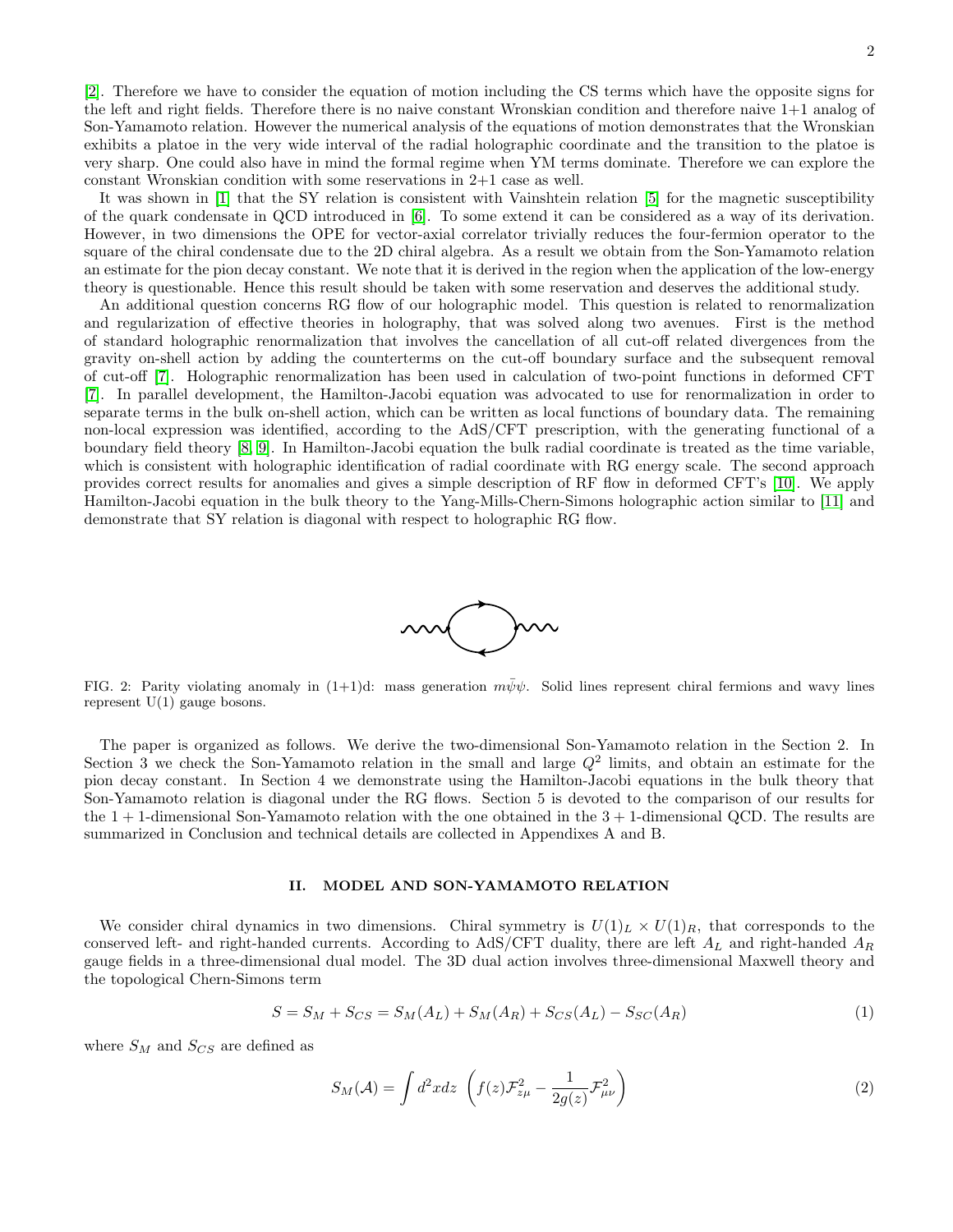[\[2\]](#page-20-1). Therefore we have to consider the equation of motion including the CS terms which have the opposite signs for the left and right fields. Therefore there is no naive constant Wronskian condition and therefore naive 1+1 analog of Son-Yamamoto relation. However the numerical analysis of the equations of motion demonstrates that the Wronskian exhibits a platoe in the very wide interval of the radial holographic coordinate and the transition to the platoe is very sharp. One could also have in mind the formal regime when YM terms dominate. Therefore we can explore the constant Wronskian condition with some reservations in 2+1 case as well.

It was shown in [\[1\]](#page-20-0) that the SY relation is consistent with Vainshtein relation [\[5\]](#page-20-4) for the magnetic susceptibility of the quark condensate in QCD introduced in [\[6\]](#page-20-5). To some extend it can be considered as a way of its derivation. However, in two dimensions the OPE for vector-axial correlator trivially reduces the four-fermion operator to the square of the chiral condensate due to the 2D chiral algebra. As a result we obtain from the Son-Yamamoto relation an estimate for the pion decay constant. We note that it is derived in the region when the application of the low-energy theory is questionable. Hence this result should be taken with some reservation and deserves the additional study.

An additional question concerns RG flow of our holographic model. This question is related to renormalization and regularization of effective theories in holography, that was solved along two avenues. First is the method of standard holographic renormalization that involves the cancellation of all cut-off related divergences from the gravity on-shell action by adding the counterterms on the cut-off boundary surface and the subsequent removal of cut-off [\[7\]](#page-20-6). Holographic renormalization has been used in calculation of two-point functions in deformed CFT [\[7\]](#page-20-6). In parallel development, the Hamilton-Jacobi equation was advocated to use for renormalization in order to separate terms in the bulk on-shell action, which can be written as local functions of boundary data. The remaining non-local expression was identified, according to the AdS/CFT prescription, with the generating functional of a boundary field theory [\[8,](#page-21-0) [9\]](#page-21-1). In Hamilton-Jacobi equation the bulk radial coordinate is treated as the time variable, which is consistent with holographic identification of radial coordinate with RG energy scale. The second approach provides correct results for anomalies and gives a simple description of RF flow in deformed CFT's [\[10\]](#page-21-2). We apply Hamilton-Jacobi equation in the bulk theory to the Yang-Mills-Chern-Simons holographic action similar to [\[11\]](#page-21-3) and demonstrate that SY relation is diagonal with respect to holographic RG flow.



FIG. 2: Parity violating anomaly in  $(1+1)d$ : mass generation  $m\bar{\psi}\psi$ . Solid lines represent chiral fermions and wavy lines represent  $U(1)$  gauge bosons.

The paper is organized as follows. We derive the two-dimensional Son-Yamamoto relation in the Section 2. In Section 3 we check the Son-Yamamoto relation in the small and large  $Q^2$  limits, and obtain an estimate for the pion decay constant. In Section 4 we demonstrate using the Hamilton-Jacobi equations in the bulk theory that Son-Yamamoto relation is diagonal under the RG flows. Section 5 is devoted to the comparison of our results for the  $1 + 1$ -dimensional Son-Yamamoto relation with the one obtained in the  $3 + 1$ -dimensional QCD. The results are summarized in Conclusion and technical details are collected in Appendixes A and B.

### <span id="page-1-1"></span>II. MODEL AND SON-YAMAMOTO RELATION

We consider chiral dynamics in two dimensions. Chiral symmetry is  $U(1)_L \times U(1)_R$ , that corresponds to the conserved left- and right-handed currents. According to AdS/CFT duality, there are left  $A_L$  and right-handed  $A_R$ gauge fields in a three-dimensional dual model. The 3D dual action involves three-dimensional Maxwell theory and the topological Chern-Simons term

<span id="page-1-0"></span>
$$
S = S_M + S_{CS} = S_M(A_L) + S_M(A_R) + S_{CS}(A_L) - S_{SC}(A_R)
$$
\n(1)

where  $S_M$  and  $S_{CS}$  are defined as

$$
S_M(\mathcal{A}) = \int d^2x dz \left( f(z) \mathcal{F}_{z\mu}^2 - \frac{1}{2g(z)} \mathcal{F}_{\mu\nu}^2 \right)
$$
 (2)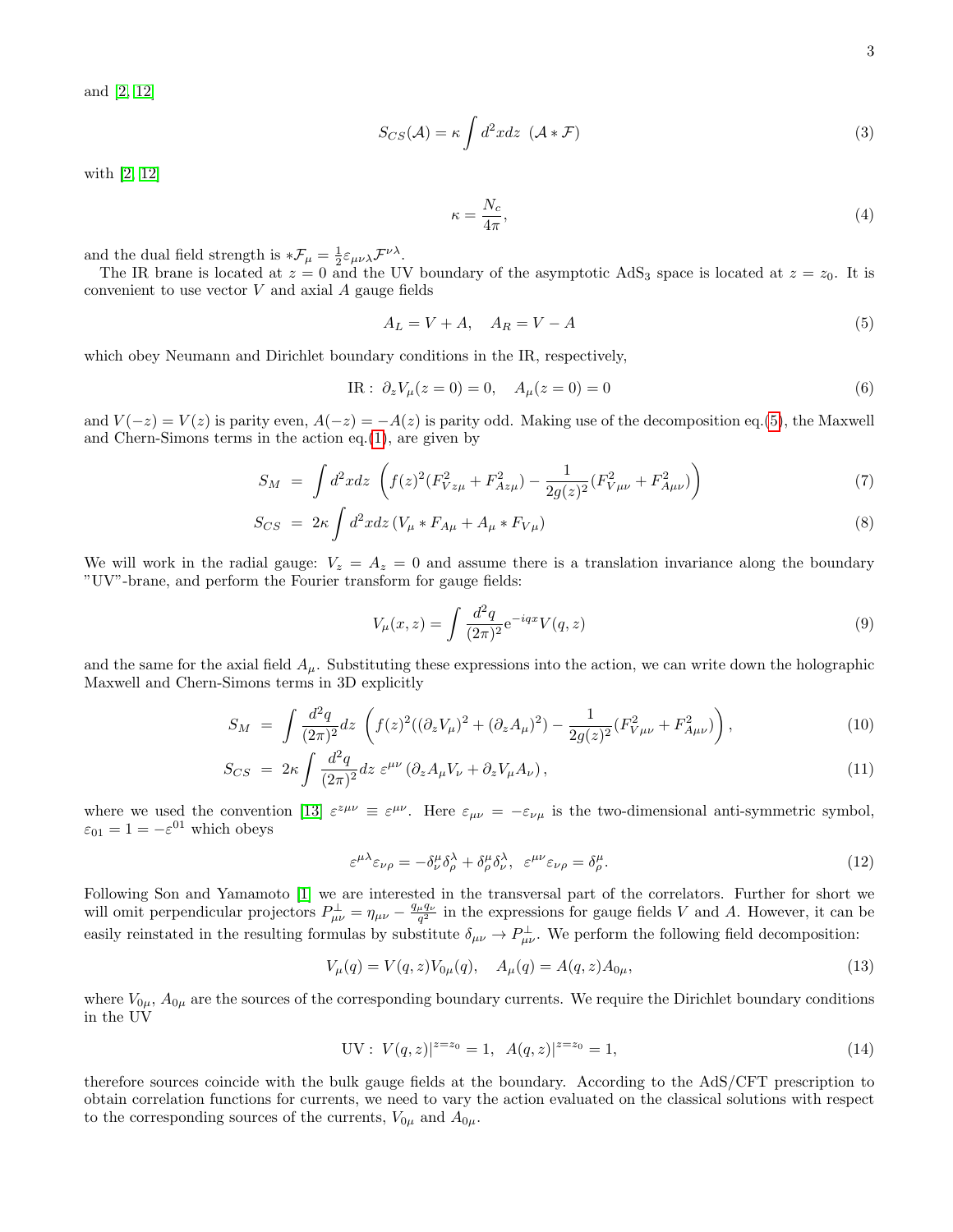and [\[2,](#page-20-1) [12\]](#page-21-4)

$$
S_{CS}(\mathcal{A}) = \kappa \int d^2x dz \, (\mathcal{A} * \mathcal{F}) \tag{3}
$$

with [\[2,](#page-20-1) [12\]](#page-21-4)

<span id="page-2-3"></span>
$$
\kappa = \frac{N_c}{4\pi},\tag{4}
$$

and the dual field strength is  $*\mathcal{F}_{\mu} = \frac{1}{2} \varepsilon_{\mu\nu\lambda} \mathcal{F}^{\nu\lambda}$ .

The IR brane is located at  $z = 0$  and the UV boundary of the asymptotic AdS<sub>3</sub> space is located at  $z = z_0$ . It is convenient to use vector  $V$  and axial  $A$  gauge fields

<span id="page-2-0"></span>
$$
A_L = V + A, \quad A_R = V - A \tag{5}
$$

which obey Neumann and Dirichlet boundary conditions in the IR, respectively,

<span id="page-2-4"></span>
$$
IR: \partial_z V_\mu(z=0) = 0, \quad A_\mu(z=0) = 0 \tag{6}
$$

and  $V(-z) = V(z)$  is parity even,  $A(-z) = -A(z)$  is parity odd. Making use of the decomposition eq.[\(5\)](#page-2-0), the Maxwell and Chern-Simons terms in the action eq.[\(1\)](#page-1-0), are given by

<span id="page-2-5"></span>
$$
S_M = \int d^2x dz \left( f(z)^2 (F_{Vz\mu}^2 + F_{Az\mu}^2) - \frac{1}{2g(z)^2} (F_{V\mu\nu}^2 + F_{A\mu\nu}^2) \right) \tag{7}
$$

$$
S_{CS} = 2\kappa \int d^2x dz \left( V_\mu * F_{A\mu} + A_\mu * F_{V\mu} \right) \tag{8}
$$

We will work in the radial gauge:  $V_z = A_z = 0$  and assume there is a translation invariance along the boundary "UV"-brane, and perform the Fourier transform for gauge fields:

$$
V_{\mu}(x,z) = \int \frac{d^2q}{(2\pi)^2} e^{-iqx} V(q,z)
$$
\n(9)

and the same for the axial field  $A_\mu$ . Substituting these expressions into the action, we can write down the holographic Maxwell and Chern-Simons terms in 3D explicitly

$$
S_M = \int \frac{d^2q}{(2\pi)^2} dz \left( f(z)^2 ((\partial_z V_\mu)^2 + (\partial_z A_\mu)^2) - \frac{1}{2g(z)^2} (F_{V\mu\nu}^2 + F_{A\mu\nu}^2) \right), \tag{10}
$$

<span id="page-2-2"></span>
$$
S_{CS} = 2\kappa \int \frac{d^2q}{(2\pi)^2} dz \ \varepsilon^{\mu\nu} \left( \partial_z A_\mu V_\nu + \partial_z V_\mu A_\nu \right), \tag{11}
$$

where we used the convention [\[13\]](#page-21-5)  $\varepsilon^{z\mu\nu} \equiv \varepsilon^{\mu\nu}$ . Here  $\varepsilon_{\mu\nu} = -\varepsilon_{\nu\mu}$  is the two-dimensional anti-symmetric symbol,  $\varepsilon_{01} = 1 = -\varepsilon^{01}$  which obeys

$$
\varepsilon^{\mu\lambda}\varepsilon_{\nu\rho} = -\delta^{\mu}_{\nu}\delta^{\lambda}_{\rho} + \delta^{\mu}_{\rho}\delta^{\lambda}_{\nu}, \quad \varepsilon^{\mu\nu}\varepsilon_{\nu\rho} = \delta^{\mu}_{\rho}.
$$
\n(12)

Following Son and Yamamoto [\[1\]](#page-20-0) we are interested in the transversal part of the correlators. Further for short we will omit perpendicular projectors  $P^{\perp}_{\mu\nu} = \eta_{\mu\nu} - \frac{q_{\mu}q_{\nu}}{q^2}$  in the expressions for gauge fields V and A. However, it can be easily reinstated in the resulting formulas by substitute  $\delta_{\mu\nu} \to P^{\perp}_{\mu\nu}$ . We perform the following field decomposition:

$$
V_{\mu}(q) = V(q, z)V_{0\mu}(q), \quad A_{\mu}(q) = A(q, z)A_{0\mu}, \tag{13}
$$

where  $V_{0\mu}$ ,  $A_{0\mu}$  are the sources of the corresponding boundary currents. We require the Dirichlet boundary conditions in the UV

<span id="page-2-1"></span>
$$
UV: V(q, z)|^{z=z_0} = 1, A(q, z)|^{z=z_0} = 1,
$$
\n(14)

therefore sources coincide with the bulk gauge fields at the boundary. According to the AdS/CFT prescription to obtain correlation functions for currents, we need to vary the action evaluated on the classical solutions with respect to the corresponding sources of the currents,  $V_{0\mu}$  and  $A_{0\mu}$ .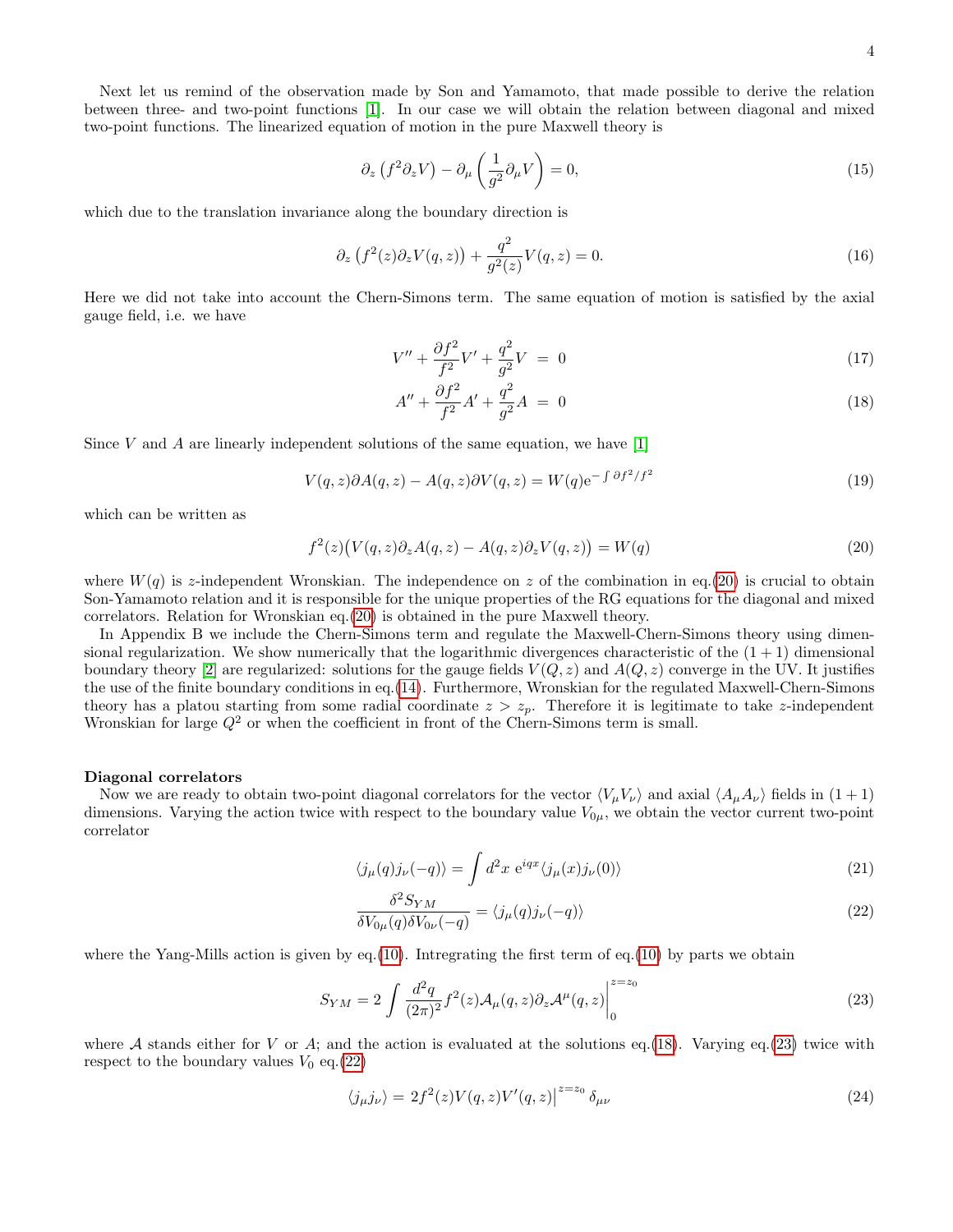Next let us remind of the observation made by Son and Yamamoto, that made possible to derive the relation between three- and two-point functions [\[1\]](#page-20-0). In our case we will obtain the relation between diagonal and mixed two-point functions. The linearized equation of motion in the pure Maxwell theory is

$$
\partial_z \left( f^2 \partial_z V \right) - \partial_\mu \left( \frac{1}{g^2} \partial_\mu V \right) = 0, \tag{15}
$$

which due to the translation invariance along the boundary direction is

$$
\partial_z \left( f^2(z) \partial_z V(q, z) \right) + \frac{q^2}{g^2(z)} V(q, z) = 0. \tag{16}
$$

Here we did not take into account the Chern-Simons term. The same equation of motion is satisfied by the axial gauge field, i.e. we have

$$
V'' + \frac{\partial f^2}{f^2}V' + \frac{q^2}{g^2}V = 0
$$
\n(17)

<span id="page-3-1"></span>
$$
A'' + \frac{\partial f^2}{f^2}A' + \frac{q^2}{g^2}A = 0
$$
\n(18)

Since V and A are linearly independent solutions of the same equation, we have  $[1]$ 

$$
V(q, z)\partial A(q, z) - A(q, z)\partial V(q, z) = W(q)e^{-\int \partial f^2/f^2}
$$
\n(19)

which can be written as

<span id="page-3-0"></span>
$$
f^{2}(z)\big(V(q,z)\partial_{z}A(q,z) - A(q,z)\partial_{z}V(q,z)\big) = W(q)
$$
\n(20)

where  $W(q)$  is z-independent Wronskian. The independence on z of the combination in eq.[\(20\)](#page-3-0) is crucial to obtain Son-Yamamoto relation and it is responsible for the unique properties of the RG equations for the diagonal and mixed correlators. Relation for Wronskian eq.[\(20\)](#page-3-0) is obtained in the pure Maxwell theory.

In Appendix B we include the Chern-Simons term and regulate the Maxwell-Chern-Simons theory using dimensional regularization. We show numerically that the logarithmic divergences characteristic of the  $(1 + 1)$  dimensional boundary theory [\[2\]](#page-20-1) are regularized: solutions for the gauge fields  $V(Q, z)$  and  $A(Q, z)$  converge in the UV. It justifies the use of the finite boundary conditions in eq.[\(14\)](#page-2-1). Furthermore, Wronskian for the regulated Maxwell-Chern-Simons theory has a platou starting from some radial coordinate  $z > z_p$ . Therefore it is legitimate to take z-independent Wronskian for large  $Q^2$  or when the coefficient in front of the Chern-Simons term is small.

#### Diagonal correlators

Now we are ready to obtain two-point diagonal correlators for the vector  $\langle V_{\mu}V_{\nu} \rangle$  and axial  $\langle A_{\mu}A_{\nu} \rangle$  fields in  $(1 + 1)$ dimensions. Varying the action twice with respect to the boundary value  $V_{0\mu}$ , we obtain the vector current two-point correlator

$$
\langle j_{\mu}(q) j_{\nu}(-q) \rangle = \int d^2 x \ e^{iqx} \langle j_{\mu}(x) j_{\nu}(0) \rangle \tag{21}
$$

<span id="page-3-3"></span>
$$
\frac{\delta^2 S_{YM}}{\delta V_{0\mu}(q)\delta V_{0\nu}(-q)} = \langle j_{\mu}(q)j_{\nu}(-q) \rangle \tag{22}
$$

where the Yang-Mills action is given by eq.[\(10\)](#page-2-2). Intregrating the first term of eq.(10) by parts we obtain

<span id="page-3-2"></span>
$$
S_{YM} = 2 \int \frac{d^2q}{(2\pi)^2} f^2(z) \mathcal{A}_{\mu}(q,z) \partial_z \mathcal{A}^{\mu}(q,z) \Big|_0^{z=z_0}
$$
\n(23)

where  $A$  stands either for  $V$  or  $A$ ; and the action is evaluated at the solutions eq.[\(18\)](#page-3-1). Varying eq.[\(23\)](#page-3-2) twice with respect to the boundary values  $V_0$  eq.[\(22\)](#page-3-3)

$$
\langle j_{\mu} j_{\nu} \rangle = 2f^2(z)V(q, z)V'(q, z)\big|^{z=z_0} \delta_{\mu\nu}
$$
\n(24)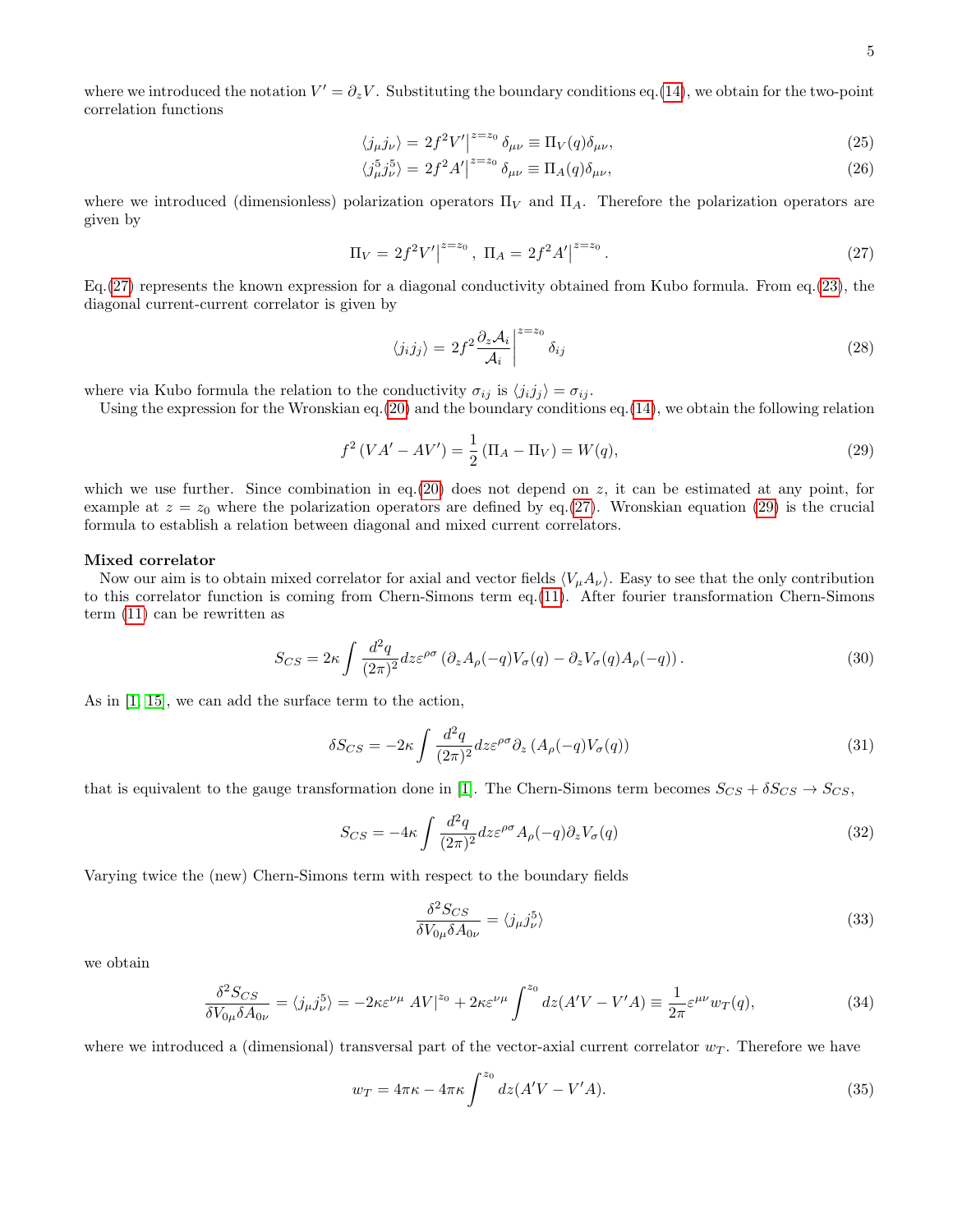where we introduced the notation  $V' = \partial_z V$ . Substituting the boundary conditions eq.[\(14\)](#page-2-1), we obtain for the two-point correlation functions

$$
\langle j_{\mu} j_{\nu} \rangle = 2f^2 V'|^{z=z_0} \delta_{\mu\nu} \equiv \Pi_V(q) \delta_{\mu\nu}, \tag{25}
$$

<span id="page-4-5"></span>
$$
\langle j_{\mu}^5 j_{\nu}^5 \rangle = 2f^2 A'|^{z=z_0} \delta_{\mu\nu} \equiv \Pi_A(q) \delta_{\mu\nu},\tag{26}
$$

where we introduced (dimensionless) polarization operators  $\Pi_V$  and  $\Pi_A$ . Therefore the polarization operators are given by

<span id="page-4-0"></span>
$$
\Pi_V = 2f^2V'|^{z=z_0}, \ \Pi_A = 2f^2A'|^{z=z_0}.
$$
\n(27)

Eq.[\(27\)](#page-4-0) represents the known expression for a diagonal conductivity obtained from Kubo formula. From eq.[\(23\)](#page-3-2), the diagonal current-current correlator is given by

$$
\langle j_i j_j \rangle = 2f^2 \frac{\partial_z \mathcal{A}_i}{\mathcal{A}_i} \bigg|_{\mathcal{I}}^{z=z_0} \delta_{ij} \tag{28}
$$

where via Kubo formula the relation to the conductivity  $\sigma_{ij}$  is  $\langle j_i j_j \rangle = \sigma_{ij}$ .

Using the expression for the Wronskian eq.[\(20\)](#page-3-0) and the boundary conditions eq.[\(14\)](#page-2-1), we obtain the following relation

<span id="page-4-1"></span>
$$
f^{2}(VA' - AV') = \frac{1}{2}(\Pi_{A} - \Pi_{V}) = W(q),
$$
\n(29)

which we use further. Since combination in eq.[\(20\)](#page-3-0) does not depend on z, it can be estimated at any point, for example at  $z = z_0$  where the polarization operators are defined by eq.[\(27\)](#page-4-0). Wronskian equation [\(29\)](#page-4-1) is the crucial formula to establish a relation between diagonal and mixed current correlators.

#### Mixed correlator

Now our aim is to obtain mixed correlator for axial and vector fields  $\langle V_\mu A_\nu \rangle$ . Easy to see that the only contribution to this correlator function is coming from Chern-Simons term eq.[\(11\)](#page-2-2). After fourier transformation Chern-Simons term [\(11\)](#page-2-2) can be rewritten as

<span id="page-4-3"></span>
$$
S_{CS} = 2\kappa \int \frac{d^2q}{(2\pi)^2} dz \varepsilon^{\rho\sigma} \left(\partial_z A_\rho(-q) V_\sigma(q) - \partial_z V_\sigma(q) A_\rho(-q)\right). \tag{30}
$$

As in [\[1,](#page-20-0) [15\]](#page-21-6), we can add the surface term to the action,

<span id="page-4-4"></span>
$$
\delta S_{CS} = -2\kappa \int \frac{d^2q}{(2\pi)^2} dz \varepsilon^{\rho\sigma} \partial_z \left( A_\rho(-q) V_\sigma(q) \right) \tag{31}
$$

that is equivalent to the gauge transformation done in [\[1\]](#page-20-0). The Chern-Simons term becomes  $S_{CS} + \delta S_{CS} \rightarrow S_{CS}$ ,

$$
S_{CS} = -4\kappa \int \frac{d^2q}{(2\pi)^2} dz \varepsilon^{\rho\sigma} A_{\rho}(-q) \partial_z V_{\sigma}(q)
$$
\n(32)

Varying twice the (new) Chern-Simons term with respect to the boundary fields

$$
\frac{\delta^2 S_{CS}}{\delta V_{0\mu} \delta A_{0\nu}} = \langle j_{\mu} j_{\nu}^5 \rangle \tag{33}
$$

we obtain

<span id="page-4-2"></span>
$$
\frac{\delta^2 S_{CS}}{\delta V_{0\mu}\delta A_{0\nu}} = \langle j_{\mu}j_{\nu}^5 \rangle = -2\kappa \varepsilon^{\nu\mu} \left[ AV \right]^{z_0} + 2\kappa \varepsilon^{\nu\mu} \int^{z_0} dz (A'V - V'A) \equiv \frac{1}{2\pi} \varepsilon^{\mu\nu} w_T(q), \tag{34}
$$

where we introduced a (dimensional) transversal part of the vector-axial current correlator  $w_T$ . Therefore we have

$$
w_T = 4\pi\kappa - 4\pi\kappa \int^{z_0} dz (A'V - V'A). \tag{35}
$$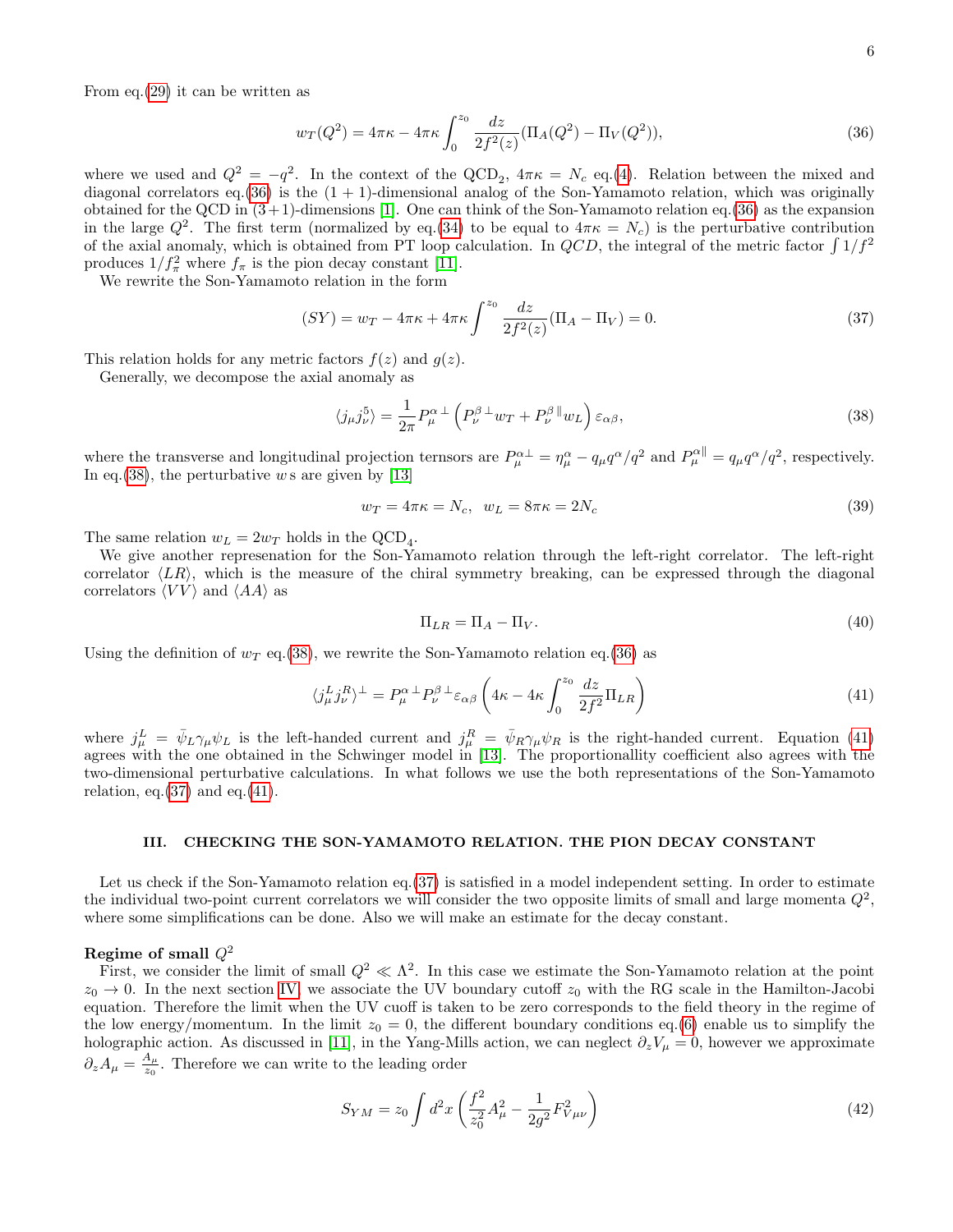From eq.[\(29\)](#page-4-1) it can be written as

<span id="page-5-0"></span>
$$
w_T(Q^2) = 4\pi\kappa - 4\pi\kappa \int_0^{z_0} \frac{dz}{2f^2(z)} (\Pi_A(Q^2) - \Pi_V(Q^2)),\tag{36}
$$

where we used and  $Q^2 = -q^2$ . In the context of the QCD<sub>2</sub>,  $4\pi\kappa = N_c$  eq.[\(4\)](#page-2-3). Relation between the mixed and diagonal correlators eq.  $(36)$  is the  $(1 + 1)$ -dimensional analog of the Son-Yamamoto relation, which was originally obtained for the QCD in  $(3+1)$ -dimensions [\[1\]](#page-20-0). One can think of the Son-Yamamoto relation eq.[\(36\)](#page-5-0) as the expansion in the large  $Q^2$ . The first term (normalized by eq.[\(34\)](#page-4-2) to be equal to  $4\pi\kappa = N_c$ ) is the perturbative contribution of the axial anomaly, which is obtained from PT loop calculation. In  $QCD$ , the integral of the metric factor  $\int 1/f^2$ produces  $1/f_{\pi}^2$  where  $f_{\pi}$  is the pion decay constant [\[11\]](#page-21-3).

We rewrite the Son-Yamamoto relation in the form

<span id="page-5-3"></span>
$$
(SY) = w_T - 4\pi\kappa + 4\pi\kappa \int^{z_0} \frac{dz}{2f^2(z)} (\Pi_A - \Pi_V) = 0.
$$
 (37)

This relation holds for any metric factors  $f(z)$  and  $g(z)$ .

Generally, we decompose the axial anomaly as

<span id="page-5-1"></span>
$$
\langle j_{\mu}j_{\nu}^{5} \rangle = \frac{1}{2\pi} P_{\mu}^{\alpha} \perp \left( P_{\nu}^{\beta} \perp w_{T} + P_{\nu}^{\beta} \parallel w_{L} \right) \varepsilon_{\alpha\beta}, \tag{38}
$$

where the transverse and longitudinal projection ternsors are  $P^{\alpha \perp}_{\mu} = \eta^{\alpha}_{\mu} - q_{\mu}q^{\alpha}/q^2$  and  $P^{\alpha \parallel}_{\mu} = q_{\mu}q^{\alpha}/q^2$ , respectively. In eq.[\(38\)](#page-5-1), the perturbative w s are given by  $[13]$ 

$$
w_T = 4\pi\kappa = N_c, \quad w_L = 8\pi\kappa = 2N_c \tag{39}
$$

The same relation  $w_L = 2w_T$  holds in the QCD<sub>4</sub>.

We give another represenation for the Son-Yamamoto relation through the left-right correlator. The left-right correlator  $\langle LR \rangle$ , which is the measure of the chiral symmetry breaking, can be expressed through the diagonal correlators  $\langle VV \rangle$  and  $\langle AA \rangle$  as

<span id="page-5-4"></span>
$$
\Pi_{LR} = \Pi_A - \Pi_V. \tag{40}
$$

Using the definition of  $w_T$  eq.[\(38\)](#page-5-1), we rewrite the Son-Yamamoto relation eq.[\(36\)](#page-5-0) as

<span id="page-5-2"></span>
$$
\langle j_{\mu}^{L} j_{\nu}^{R} \rangle^{\perp} = P_{\mu}^{\alpha \perp} P_{\nu}^{\beta \perp} \varepsilon_{\alpha\beta} \left( 4\kappa - 4\kappa \int_{0}^{z_{0}} \frac{dz}{2f^{2}} \Pi_{LR} \right)
$$
(41)

where  $j_{\mu}^L = \bar{\psi}_L \gamma_{\mu} \psi_L$  is the left-handed current and  $j_{\mu}^R = \bar{\psi}_R \gamma_{\mu} \psi_R$  is the right-handed current. Equation [\(41\)](#page-5-2) agrees with the one obtained in the Schwinger model in [\[13\]](#page-21-5). The proportionallity coefficient also agrees with the two-dimensional perturbative calculations. In what follows we use the both representations of the Son-Yamamoto relation, eq. $(37)$  and eq. $(41)$ .

### <span id="page-5-5"></span>III. CHECKING THE SON-YAMAMOTO RELATION. THE PION DECAY CONSTANT

Let us check if the Son-Yamamoto relation eq. [\(37\)](#page-5-3) is satisfied in a model independent setting. In order to estimate the individual two-point current correlators we will consider the two opposite limits of small and large momenta  $Q^2$ , where some simplifications can be done. Also we will make an estimate for the decay constant.

# Regime of small  $Q^2$

First, we consider the limit of small  $Q^2 \ll \Lambda^2$ . In this case we estimate the Son-Yamamoto relation at the point  $z_0 \to 0$ . In the next section [IV,](#page-8-0) we associate the UV boundary cutoff  $z_0$  with the RG scale in the Hamilton-Jacobi equation. Therefore the limit when the UV cuoff is taken to be zero corresponds to the field theory in the regime of the low energy/momentum. In the limit  $z_0 = 0$ , the different boundary conditions eq.[\(6\)](#page-2-4) enable us to simplify the holographic action. As discussed in [\[11\]](#page-21-3), in the Yang-Mills action, we can neglect  $\partial_z V_\mu = 0$ , however we approximate  $\partial_z A_\mu = \frac{A_\mu}{z_0}$  $\frac{A_{\mu}}{z_0}$ . Therefore we can write to the leading order

$$
S_{YM} = z_0 \int d^2x \left(\frac{f^2}{z_0^2} A_\mu^2 - \frac{1}{2g^2} F_{V\mu\nu}^2\right)
$$
 (42)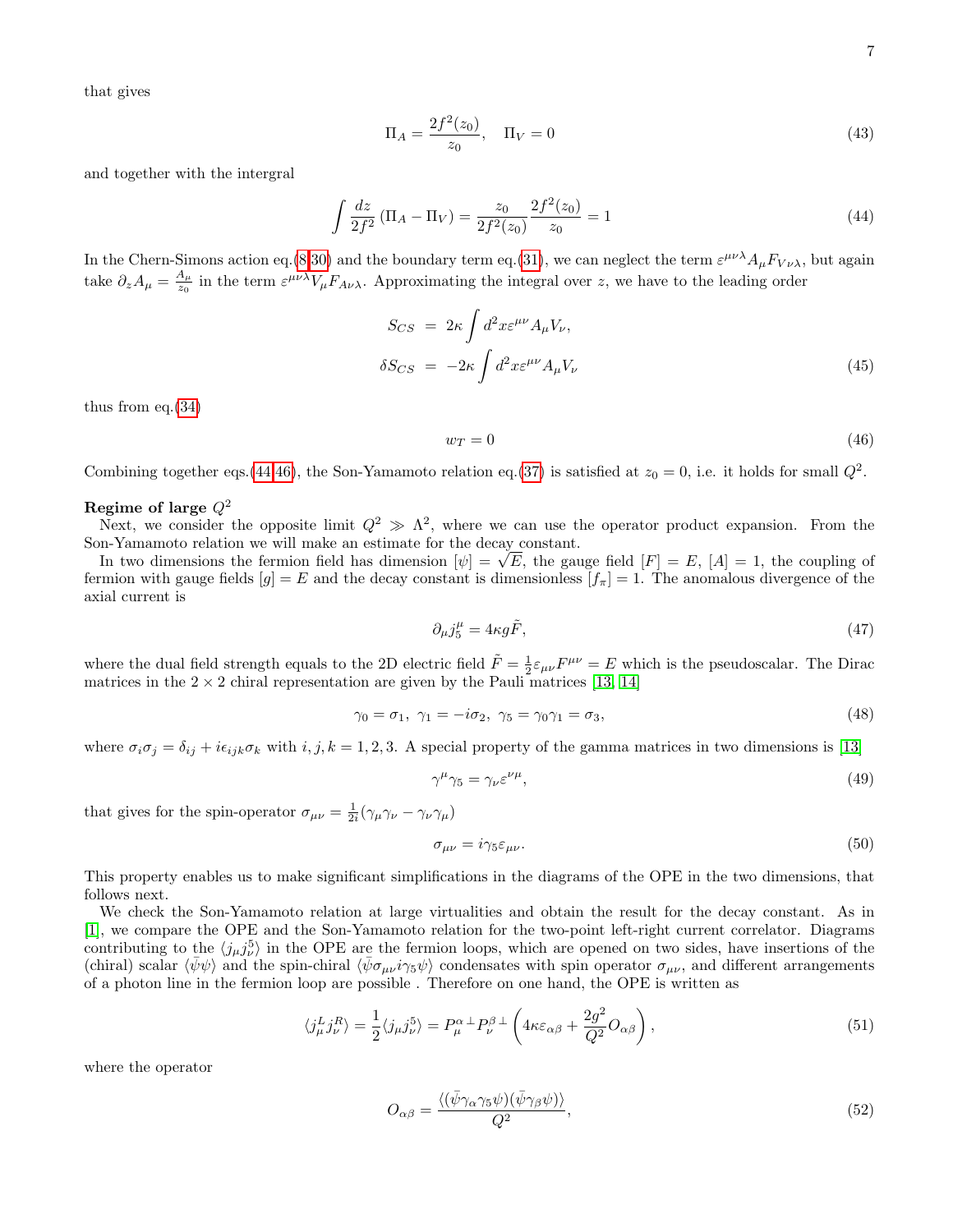that gives

$$
\Pi_A = \frac{2f^2(z_0)}{z_0}, \quad \Pi_V = 0 \tag{43}
$$

and together with the intergral

<span id="page-6-0"></span>
$$
\int \frac{dz}{2f^2} \left( \Pi_A - \Pi_V \right) = \frac{z_0}{2f^2(z_0)} \frac{2f^2(z_0)}{z_0} = 1 \tag{44}
$$

In the Chern-Simons action eq.[\(8,](#page-2-5)[30\)](#page-4-3) and the boundary term eq.[\(31\)](#page-4-4), we can neglect the term  $\varepsilon^{\mu\nu\lambda}A_\mu F_{V\nu\lambda}$ , but again take  $\partial_z A_\mu = \frac{A_\mu}{z_0}$  $\frac{A_{\mu}}{z_0}$  in the term  $\varepsilon^{\mu\nu\lambda}V_{\mu}F_{A\nu\lambda}$ . Approximating the integral over z, we have to the leading order

$$
S_{CS} = 2\kappa \int d^2x \varepsilon^{\mu\nu} A_{\mu} V_{\nu},
$$
  

$$
\delta S_{CS} = -2\kappa \int d^2x \varepsilon^{\mu\nu} A_{\mu} V_{\nu}
$$
 (45)

thus from eq.[\(34\)](#page-4-2)

<span id="page-6-1"></span>
$$
w_T = 0 \tag{46}
$$

Combining together eqs.[\(44,](#page-6-0)[46\)](#page-6-1), the Son-Yamamoto relation eq.[\(37\)](#page-5-3) is satisfied at  $z_0 = 0$ , i.e. it holds for small  $Q^2$ .

# Regime of large  $Q^2$

Next, we consider the opposite limit  $Q^2 \gg \Lambda^2$ , where we can use the operator product expansion. From the Son-Yamamoto relation we will make an estimate for the decay constant.

n-Yamamoto relation we will make an estimate for the decay constant.<br>In two dimensions the fermion field has dimension  $[\psi] = \sqrt{E}$ , the gauge field  $[F] = E$ ,  $[A] = 1$ , the coupling of fermion with gauge fields  $[g] = E$  and the decay constant is dimensionless  $[f_\pi] = 1$ . The anomalous divergence of the axial current is

$$
\partial_{\mu}j_{5}^{\mu} = 4\kappa g \tilde{F},\tag{47}
$$

where the dual field strength equals to the 2D electric field  $\tilde{F} = \frac{1}{2} \varepsilon_{\mu\nu} F^{\mu\nu} = E$  which is the pseudoscalar. The Dirac matrices in the  $2 \times 2$  chiral representation are given by the Pauli matrices [\[13,](#page-21-5) [14\]](#page-21-7)

$$
\gamma_0 = \sigma_1, \ \gamma_1 = -i\sigma_2, \ \gamma_5 = \gamma_0 \gamma_1 = \sigma_3,\tag{48}
$$

where  $\sigma_i \sigma_j = \delta_{ij} + i \epsilon_{ijk} \sigma_k$  with  $i, j, k = 1, 2, 3$ . A special property of the gamma matrices in two dimensions is [\[13\]](#page-21-5)

$$
\gamma^{\mu}\gamma_5 = \gamma_{\nu}\varepsilon^{\nu\mu},\tag{49}
$$

that gives for the spin-operator  $\sigma_{\mu\nu} = \frac{1}{2i} (\gamma_{\mu} \gamma_{\nu} - \gamma_{\nu} \gamma_{\mu})$ 

<span id="page-6-2"></span>
$$
\sigma_{\mu\nu} = i\gamma_5 \varepsilon_{\mu\nu}.\tag{50}
$$

This property enables us to make significant simplifications in the diagrams of the OPE in the two dimensions, that follows next.

We check the Son-Yamamoto relation at large virtualities and obtain the result for the decay constant. As in [\[1\]](#page-20-0), we compare the OPE and the Son-Yamamoto relation for the two-point left-right current correlator. Diagrams contributing to the  $\langle j_\mu j_\nu^5 \rangle$  in the OPE are the fermion loops, which are opened on two sides, have insertions of the (chiral) scalar  $\langle \bar{\psi}\psi \rangle$  and the spin-chiral  $\langle \bar{\psi}\sigma_{\mu\nu}i\gamma_5\psi \rangle$  condensates with spin operator  $\sigma_{\mu\nu}$ , and different arrangements of a photon line in the fermion loop are possible . Therefore on one hand, the OPE is written as

$$
\langle j_{\mu}^{L} j_{\nu}^{R} \rangle = \frac{1}{2} \langle j_{\mu} j_{\nu}^{5} \rangle = P_{\mu}^{\alpha \perp} P_{\nu}^{\beta \perp} \left( 4\kappa \varepsilon_{\alpha\beta} + \frac{2g^{2}}{Q^{2}} O_{\alpha\beta} \right), \tag{51}
$$

where the operator

$$
O_{\alpha\beta} = \frac{\langle (\bar{\psi}\gamma_\alpha\gamma_5\psi)(\bar{\psi}\gamma_\beta\psi) \rangle}{Q^2},\tag{52}
$$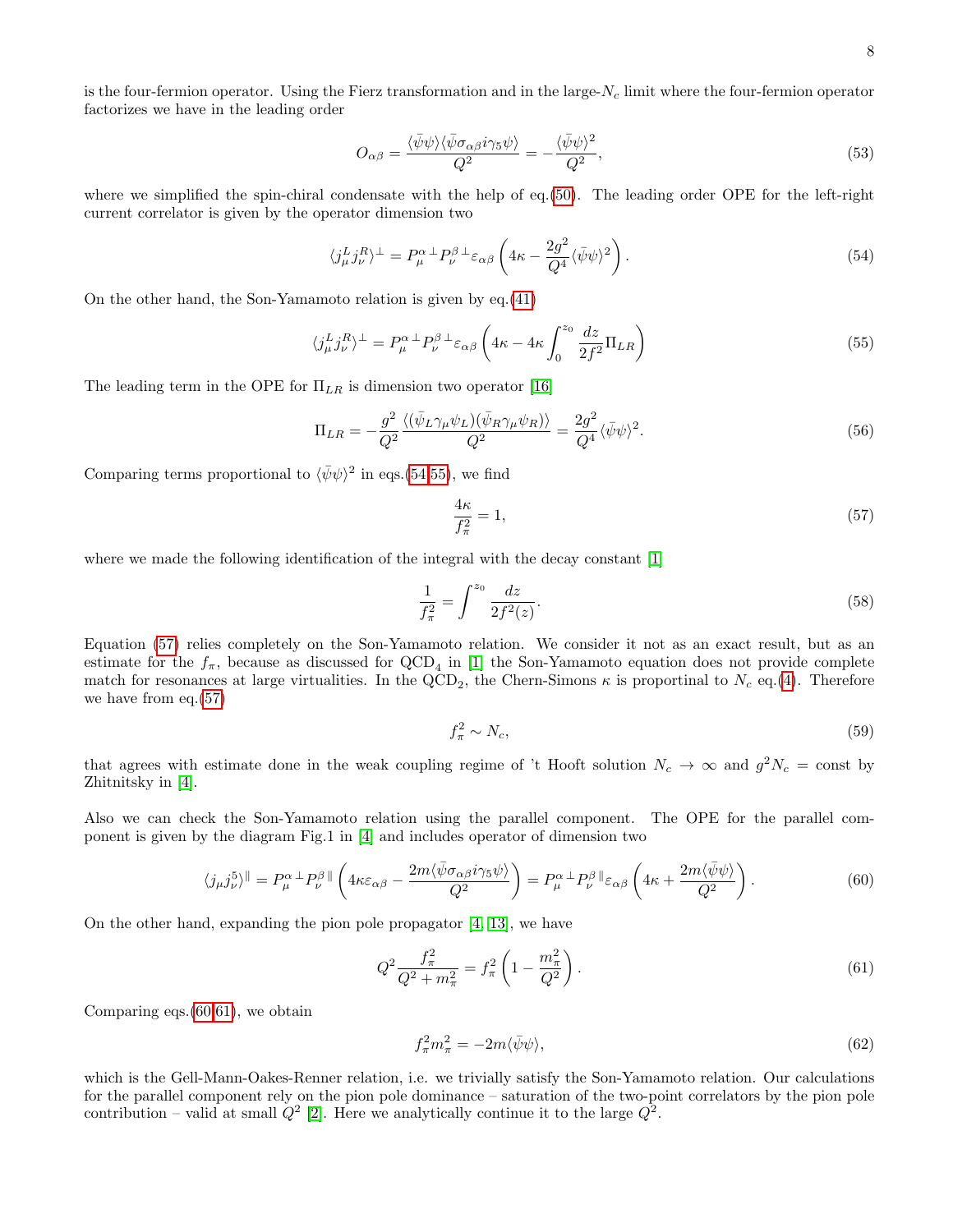is the four-fermion operator. Using the Fierz transformation and in the large- $N_c$  limit where the four-fermion operator factorizes we have in the leading order

$$
O_{\alpha\beta} = \frac{\langle \bar{\psi}\psi \rangle \langle \bar{\psi}\sigma_{\alpha\beta}i\gamma_5\psi \rangle}{Q^2} = -\frac{\langle \bar{\psi}\psi \rangle^2}{Q^2},\tag{53}
$$

where we simplified the spin-chiral condensate with the help of eq.[\(50\)](#page-6-2). The leading order OPE for the left-right current correlator is given by the operator dimension two

<span id="page-7-0"></span>
$$
\langle j_{\mu}^{L} j_{\nu}^{R} \rangle^{\perp} = P_{\mu}^{\alpha \perp} P_{\nu}^{\beta \perp} \varepsilon_{\alpha\beta} \left( 4\kappa - \frac{2g^{2}}{Q^{4}} \langle \bar{\psi} \psi \rangle^{2} \right). \tag{54}
$$

On the other hand, the Son-Yamamoto relation is given by eq.[\(41\)](#page-5-2)

<span id="page-7-1"></span>
$$
\langle j_{\mu}^{L} j_{\nu}^{R} \rangle^{\perp} = P_{\mu}^{\alpha \perp} P_{\nu}^{\beta \perp} \varepsilon_{\alpha\beta} \left( 4\kappa - 4\kappa \int_{0}^{z_{0}} \frac{dz}{2f^{2}} \Pi_{LR} \right)
$$
(55)

The leading term in the OPE for  $\Pi_{LR}$  is dimension two operator [\[16\]](#page-21-8)

$$
\Pi_{LR} = -\frac{g^2}{Q^2} \frac{\langle (\bar{\psi}_L \gamma_\mu \psi_L)(\bar{\psi}_R \gamma_\mu \psi_R) \rangle}{Q^2} = \frac{2g^2}{Q^4} \langle \bar{\psi} \psi \rangle^2.
$$
\n(56)

Comparing terms proportional to  $\langle \bar{\psi}\psi \rangle^2$  in eqs.[\(54,](#page-7-0)[55\)](#page-7-1), we find

<span id="page-7-2"></span>
$$
\frac{4\kappa}{f_{\pi}^2} = 1,\tag{57}
$$

where we made the following identification of the integral with the decay constant [\[1\]](#page-20-0)

$$
\frac{1}{f_{\pi}^2} = \int^{z_0} \frac{dz}{2f^2(z)}.
$$
\n(58)

Equation [\(57\)](#page-7-2) relies completely on the Son-Yamamoto relation. We consider it not as an exact result, but as an estimate for the  $f_{\pi}$ , because as discussed for  $\text{QCD}_4$  in [\[1\]](#page-20-0) the Son-Yamamoto equation does not provide complete match for resonances at large virtualities. In the QCD<sub>2</sub>, the Chern-Simons  $\kappa$  is proportinal to  $N_c$  eq.[\(4\)](#page-2-3). Therefore we have from eq.[\(57\)](#page-7-2)

$$
f_{\pi}^2 \sim N_c,\tag{59}
$$

that agrees with estimate done in the weak coupling regime of 't Hooft solution  $N_c \to \infty$  and  $g^2 N_c = \text{const}$  by Zhitnitsky in [\[4\]](#page-20-3).

Also we can check the Son-Yamamoto relation using the parallel component. The OPE for the parallel component is given by the diagram Fig.1 in [\[4\]](#page-20-3) and includes operator of dimension two

<span id="page-7-3"></span>
$$
\langle j_{\mu}j_{\nu}^{5}\rangle^{\parallel} = P_{\mu}^{\alpha \perp} P_{\nu}^{\beta \parallel} \left(4\kappa \varepsilon_{\alpha\beta} - \frac{2m\langle \bar{\psi}\sigma_{\alpha\beta}i\gamma_{5}\psi\rangle}{Q^{2}}\right) = P_{\mu}^{\alpha \perp} P_{\nu}^{\beta \parallel} \varepsilon_{\alpha\beta} \left(4\kappa + \frac{2m\langle \bar{\psi}\psi\rangle}{Q^{2}}\right). \tag{60}
$$

On the other hand, expanding the pion pole propagator [\[4,](#page-20-3) [13\]](#page-21-5), we have

<span id="page-7-4"></span>
$$
Q^2 \frac{f_\pi^2}{Q^2 + m_\pi^2} = f_\pi^2 \left( 1 - \frac{m_\pi^2}{Q^2} \right). \tag{61}
$$

Comparing eqs.[\(60](#page-7-3)[,61\)](#page-7-4), we obtain

$$
f_{\pi}^2 m_{\pi}^2 = -2m\langle\bar{\psi}\psi\rangle,\tag{62}
$$

which is the Gell-Mann-Oakes-Renner relation, i.e. we trivially satisfy the Son-Yamamoto relation. Our calculations for the parallel component rely on the pion pole dominance – saturation of the two-point correlators by the pion pole contribution – valid at small  $Q^2$  [\[2\]](#page-20-1). Here we analytically continue it to the large  $Q^2$ .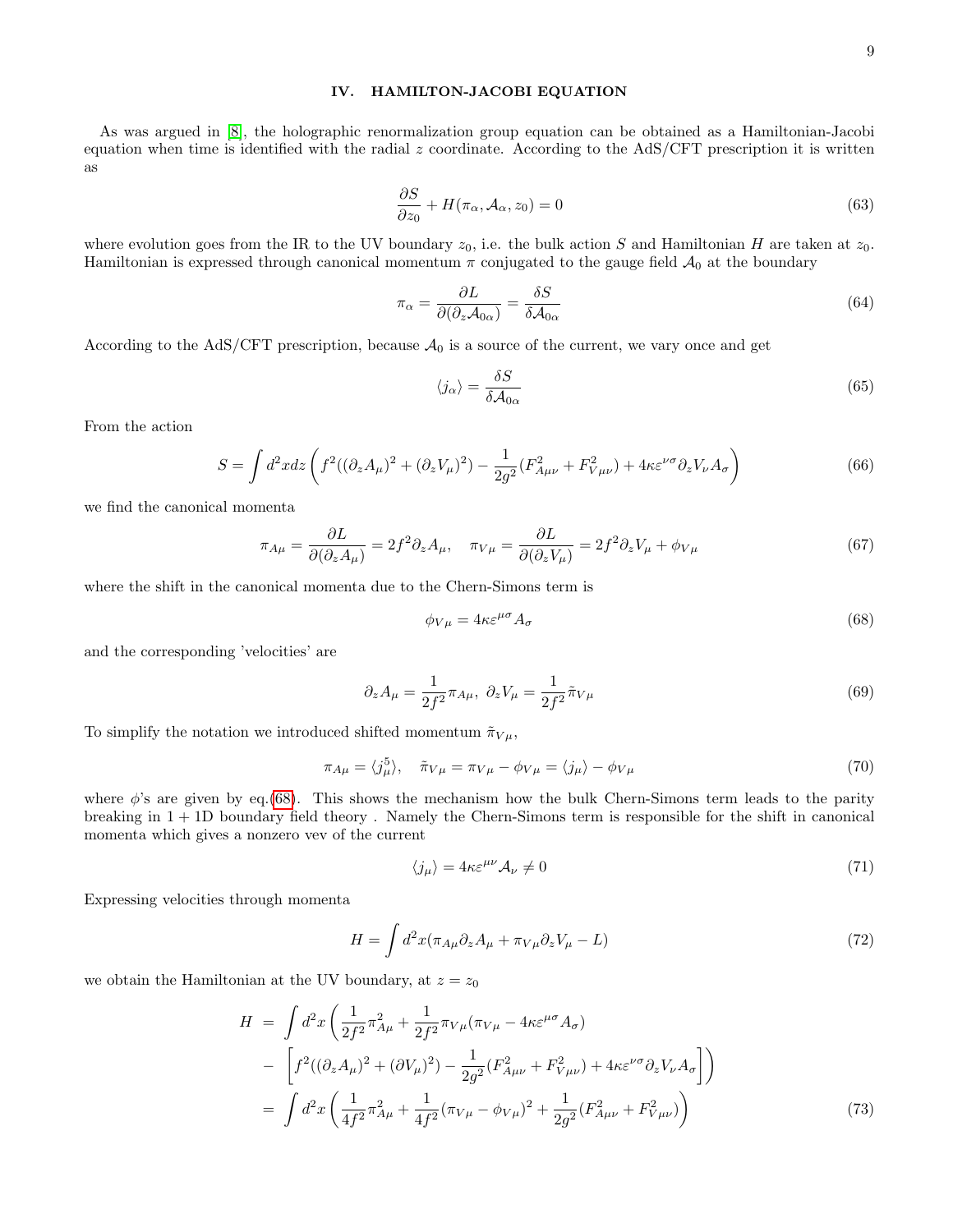# <span id="page-8-0"></span>IV. HAMILTON-JACOBI EQUATION

As was argued in [\[8\]](#page-21-0), the holographic renormalization group equation can be obtained as a Hamiltonian-Jacobi equation when time is identified with the radial  $z$  coordinate. According to the AdS/CFT prescription it is written as

<span id="page-8-2"></span>
$$
\frac{\partial S}{\partial z_0} + H(\pi_\alpha, \mathcal{A}_\alpha, z_0) = 0 \tag{63}
$$

where evolution goes from the IR to the UV boundary  $z_0$ , i.e. the bulk action S and Hamiltonian H are taken at  $z_0$ . Hamiltonian is expressed through canonical momentum  $\pi$  conjugated to the gauge field  $\mathcal{A}_0$  at the boundary

$$
\pi_{\alpha} = \frac{\partial L}{\partial(\partial_z \mathcal{A}_{0\alpha})} = \frac{\delta S}{\delta \mathcal{A}_{0\alpha}} \tag{64}
$$

According to the AdS/CFT prescription, because  $A_0$  is a source of the current, we vary once and get

$$
\langle j_{\alpha} \rangle = \frac{\delta S}{\delta A_{0\alpha}} \tag{65}
$$

From the action

$$
S = \int d^2x dz \left( f^2((\partial_z A_\mu)^2 + (\partial_z V_\mu)^2) - \frac{1}{2g^2} (F_{A\mu\nu}^2 + F_{V\mu\nu}^2) + 4\kappa \varepsilon^{\nu\sigma} \partial_z V_\nu A_\sigma \right) \tag{66}
$$

we find the canonical momenta

$$
\pi_{A\mu} = \frac{\partial L}{\partial(\partial_z A_\mu)} = 2f^2 \partial_z A_\mu, \quad \pi_{V\mu} = \frac{\partial L}{\partial(\partial_z V_\mu)} = 2f^2 \partial_z V_\mu + \phi_{V\mu}
$$
(67)

where the shift in the canonical momenta due to the Chern-Simons term is

<span id="page-8-1"></span>
$$
\phi_{V\mu} = 4\kappa \varepsilon^{\mu\sigma} A_{\sigma} \tag{68}
$$

and the corresponding 'velocities' are

$$
\partial_z A_\mu = \frac{1}{2f^2} \pi_{A\mu}, \ \partial_z V_\mu = \frac{1}{2f^2} \tilde{\pi}_{V\mu}
$$
\n(69)

To simplify the notation we introduced shifted momentum  $\tilde{\pi}_{V\mu}$ ,

<span id="page-8-3"></span>
$$
\pi_{A\mu} = \langle j_{\mu}^{5} \rangle, \quad \tilde{\pi}_{V\mu} = \pi_{V\mu} - \phi_{V\mu} = \langle j_{\mu} \rangle - \phi_{V\mu}
$$
\n(70)

where  $\phi$ 's are given by eq.[\(68\)](#page-8-1). This shows the mechanism how the bulk Chern-Simons term leads to the parity breaking in 1 + 1D boundary field theory . Namely the Chern-Simons term is responsible for the shift in canonical momenta which gives a nonzero vev of the current

$$
\langle j_{\mu} \rangle = 4\kappa \varepsilon^{\mu\nu} \mathcal{A}_{\nu} \neq 0 \tag{71}
$$

Expressing velocities through momenta

$$
H = \int d^2x (\pi_{A\mu}\partial_z A_\mu + \pi_{V\mu}\partial_z V_\mu - L)
$$
\n(72)

we obtain the Hamiltonian at the UV boundary, at  $z = z_0$ 

<span id="page-8-4"></span>
$$
H = \int d^2x \left( \frac{1}{2f^2} \pi_{A\mu}^2 + \frac{1}{2f^2} \pi_{V\mu} (\pi_{V\mu} - 4\kappa \varepsilon^{\mu\sigma} A_{\sigma}) \right)
$$
  
- 
$$
\left[ f^2((\partial_z A_{\mu})^2 + (\partial V_{\mu})^2) - \frac{1}{2g^2} (F_{A\mu\nu}^2 + F_{V\mu\nu}^2) + 4\kappa \varepsilon^{\nu\sigma} \partial_z V_{\nu} A_{\sigma} \right] \right)
$$
  
= 
$$
\int d^2x \left( \frac{1}{4f^2} \pi_{A\mu}^2 + \frac{1}{4f^2} (\pi_{V\mu} - \phi_{V\mu})^2 + \frac{1}{2g^2} (F_{A\mu\nu}^2 + F_{V\mu\nu}^2) \right)
$$
(73)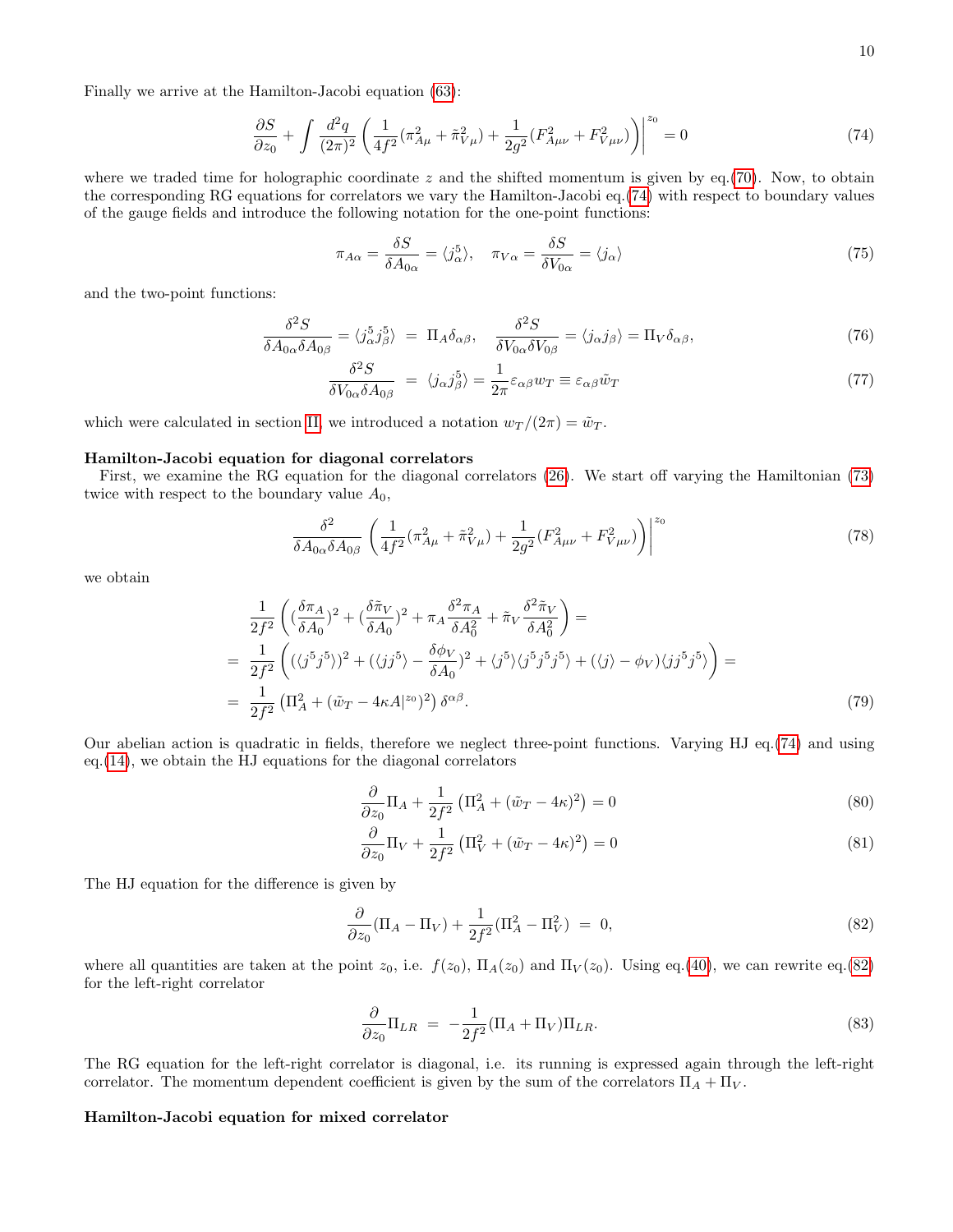Finally we arrive at the Hamilton-Jacobi equation [\(63\)](#page-8-2):

<span id="page-9-0"></span>
$$
\frac{\partial S}{\partial z_0} + \int \frac{d^2 q}{(2\pi)^2} \left( \frac{1}{4f^2} (\pi_{A\mu}^2 + \tilde{\pi}_{V\mu}^2) + \frac{1}{2g^2} (F_{A\mu\nu}^2 + F_{V\mu\nu}^2) \right)^{z_0} = 0 \tag{74}
$$

where we traded time for holographic coordinate  $z$  and the shifted momentum is given by eq.[\(70\)](#page-8-3). Now, to obtain the corresponding RG equations for correlators we vary the Hamilton-Jacobi eq.[\(74\)](#page-9-0) with respect to boundary values of the gauge fields and introduce the following notation for the one-point functions:

$$
\pi_{A\alpha} = \frac{\delta S}{\delta A_{0\alpha}} = \langle j_{\alpha}^5 \rangle, \quad \pi_{V\alpha} = \frac{\delta S}{\delta V_{0\alpha}} = \langle j_{\alpha} \rangle \tag{75}
$$

and the two-point functions:

$$
\frac{\delta^2 S}{\delta A_{0\alpha} \delta A_{0\beta}} = \langle j_\alpha^5 j_\beta^5 \rangle = \Pi_A \delta_{\alpha\beta}, \quad \frac{\delta^2 S}{\delta V_{0\alpha} \delta V_{0\beta}} = \langle j_\alpha j_\beta \rangle = \Pi_V \delta_{\alpha\beta},\tag{76}
$$

$$
\frac{\delta^2 S}{\delta V_{0\alpha} \delta A_{0\beta}} = \langle j_{\alpha} j_{\beta}^5 \rangle = \frac{1}{2\pi} \varepsilon_{\alpha\beta} w_T \equiv \varepsilon_{\alpha\beta} \tilde{w}_T \tag{77}
$$

which were calculated in section [II,](#page-1-1) we introduced a notation  $w_T/(2\pi) = \tilde{w}_T$ .

#### Hamilton-Jacobi equation for diagonal correlators

First, we examine the RG equation for the diagonal correlators [\(26\)](#page-4-5). We start off varying the Hamiltonian [\(73\)](#page-8-4) twice with respect to the boundary value  $A_0$ ,

$$
\frac{\delta^2}{\delta A_{0\alpha}\delta A_{0\beta}} \left( \frac{1}{4f^2} (\pi_{A\mu}^2 + \tilde{\pi}_{V\mu}^2) + \frac{1}{2g^2} (F_{A\mu\nu}^2 + F_{V\mu\nu}^2) \right)^{z_0} \tag{78}
$$

we obtain

$$
\frac{1}{2f^2} \left( \left( \frac{\delta \pi_A}{\delta A_0} \right)^2 + \left( \frac{\delta \tilde{\pi}_V}{\delta A_0} \right)^2 + \pi_A \frac{\delta^2 \pi_A}{\delta A_0^2} + \tilde{\pi}_V \frac{\delta^2 \tilde{\pi}_V}{\delta A_0^2} \right) =
$$
\n
$$
= \frac{1}{2f^2} \left( \left( \langle j^5 j^5 \rangle \right)^2 + \left( \langle j j^5 \rangle - \frac{\delta \phi_V}{\delta A_0} \right)^2 + \langle j^5 \rangle \langle j^5 j^5 j^5 \rangle + \left( \langle j \rangle - \phi_V \right) \langle j j^5 j^5 \rangle \right) =
$$
\n
$$
= \frac{1}{2f^2} \left( \Pi_A^2 + (\tilde{w}_T - 4\kappa A|^{z_0})^2 \right) \delta^{\alpha \beta}.
$$
\n(79)

Our abelian action is quadratic in fields, therefore we neglect three-point functions. Varying HJ eq.[\(74\)](#page-9-0) and using eq.[\(14\)](#page-2-1), we obtain the HJ equations for the diagonal correlators

$$
\frac{\partial}{\partial z_0} \Pi_A + \frac{1}{2f^2} \left( \Pi_A^2 + (\tilde{w}_T - 4\kappa)^2 \right) = 0 \tag{80}
$$

$$
\frac{\partial}{\partial z_0} \Pi_V + \frac{1}{2f^2} \left( \Pi_V^2 + (\tilde{w}_T - 4\kappa)^2 \right) = 0 \tag{81}
$$

The HJ equation for the difference is given by

<span id="page-9-1"></span>
$$
\frac{\partial}{\partial z_0} (\Pi_A - \Pi_V) + \frac{1}{2f^2} (\Pi_A^2 - \Pi_V^2) = 0, \tag{82}
$$

where all quantities are taken at the point  $z_0$ , i.e.  $f(z_0)$ ,  $\Pi_A(z_0)$  and  $\Pi_V(z_0)$ . Using eq.[\(40\)](#page-5-4), we can rewrite eq.[\(82\)](#page-9-1) for the left-right correlator

<span id="page-9-2"></span>
$$
\frac{\partial}{\partial z_0} \Pi_{LR} = -\frac{1}{2f^2} (\Pi_A + \Pi_V) \Pi_{LR}.
$$
\n(83)

The RG equation for the left-right correlator is diagonal, i.e. its running is expressed again through the left-right correlator. The momentum dependent coefficient is given by the sum of the correlators  $\Pi_A + \Pi_V$ .

# Hamilton-Jacobi equation for mixed correlator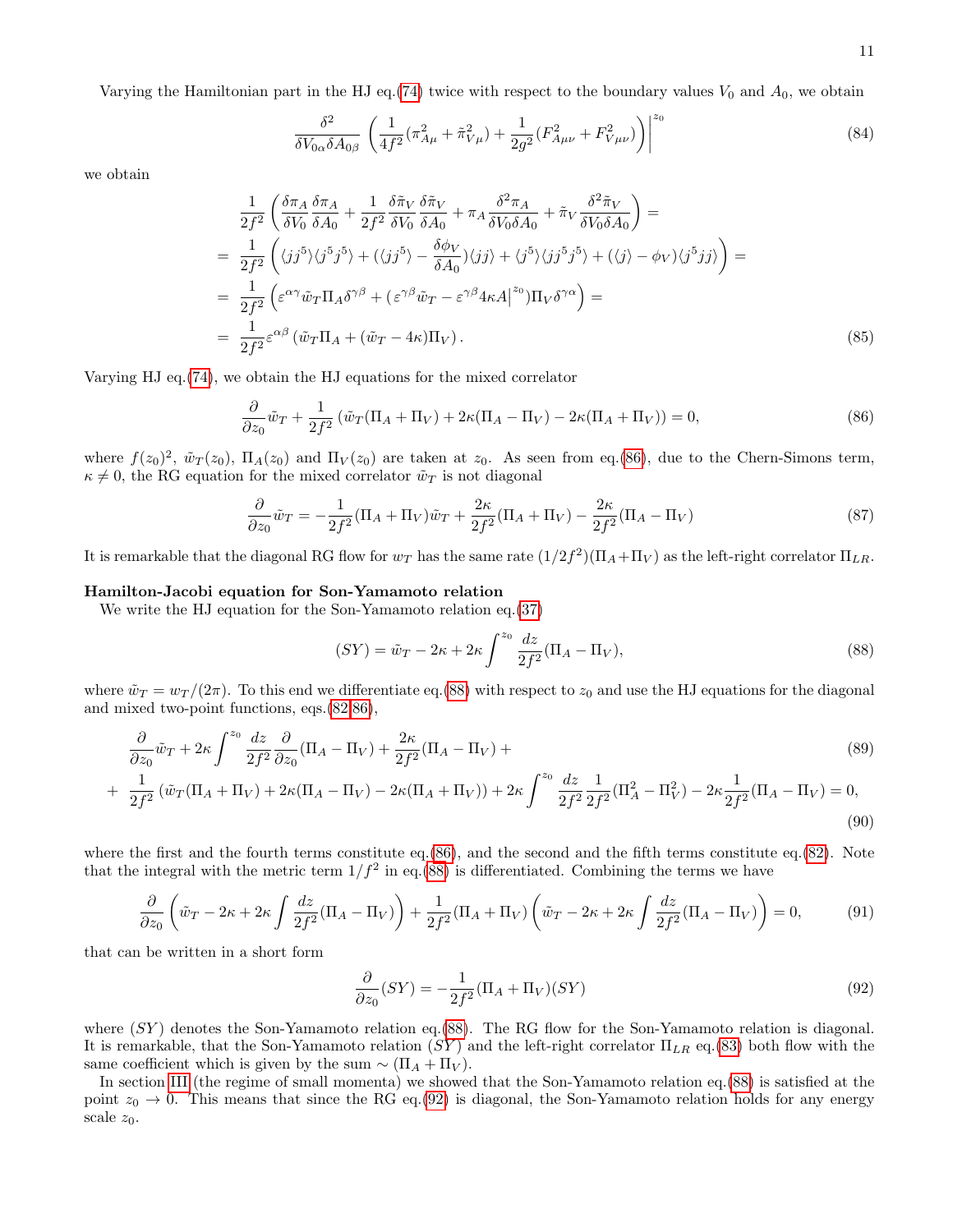11

Varying the Hamiltonian part in the HJ eq.[\(74\)](#page-9-0) twice with respect to the boundary values  $V_0$  and  $A_0$ , we obtain

$$
\frac{\delta^2}{\delta V_{0\alpha}\delta A_{0\beta}} \left( \frac{1}{4f^2} (\pi_{A\mu}^2 + \tilde{\pi}_{V\mu}^2) + \frac{1}{2g^2} (F_{A\mu\nu}^2 + F_{V\mu\nu}^2) \right)^{z_0}
$$
(84)

we obtain

$$
\frac{1}{2f^2} \left( \frac{\delta \pi_A}{\delta V_0} \frac{\delta \pi_A}{\delta A_0} + \frac{1}{2f^2} \frac{\delta \tilde{\pi}_V}{\delta V_0} \frac{\delta \tilde{\pi}_V}{\delta A_0} + \pi_A \frac{\delta^2 \pi_A}{\delta V_0 \delta A_0} + \tilde{\pi}_V \frac{\delta^2 \tilde{\pi}_V}{\delta V_0 \delta A_0} \right) =
$$
\n
$$
= \frac{1}{2f^2} \left( \langle jj^5 \rangle \langle j^5 j^5 \rangle + (\langle jj^5 \rangle - \frac{\delta \phi_V}{\delta A_0}) \langle jj \rangle + \langle j^5 \rangle \langle jj^5 j^5 \rangle + (\langle j \rangle - \phi_V) \langle j^5 jj \rangle \right) =
$$
\n
$$
= \frac{1}{2f^2} \left( \varepsilon^{\alpha \gamma} \tilde{w}_T \Pi_A \delta^{\gamma \beta} + (\varepsilon^{\gamma \beta} \tilde{w}_T - \varepsilon^{\gamma \beta} 4 \kappa A \Big|^{z_0} \right) \Pi_V \delta^{\gamma \alpha} \right) =
$$
\n
$$
= \frac{1}{2f^2} \varepsilon^{\alpha \beta} \left( \tilde{w}_T \Pi_A + (\tilde{w}_T - 4 \kappa) \Pi_V \right).
$$
\n(85)

Varying HJ eq.[\(74\)](#page-9-0), we obtain the HJ equations for the mixed correlator

<span id="page-10-0"></span>
$$
\frac{\partial}{\partial z_0}\tilde{w}_T + \frac{1}{2f^2} \left( \tilde{w}_T (\Pi_A + \Pi_V) + 2\kappa (\Pi_A - \Pi_V) - 2\kappa (\Pi_A + \Pi_V) \right) = 0,\tag{86}
$$

where  $f(z_0)^2$ ,  $\tilde{w}_T(z_0)$ ,  $\Pi_A(z_0)$  and  $\Pi_V(z_0)$  are taken at  $z_0$ . As seen from eq.[\(86\)](#page-10-0), due to the Chern-Simons term,  $\kappa \neq 0$ , the RG equation for the mixed correlator  $\tilde{w}_T$  is not diagonal

$$
\frac{\partial}{\partial z_0}\tilde{w}_T = -\frac{1}{2f^2}(\Pi_A + \Pi_V)\tilde{w}_T + \frac{2\kappa}{2f^2}(\Pi_A + \Pi_V) - \frac{2\kappa}{2f^2}(\Pi_A - \Pi_V)
$$
\n(87)

It is remarkable that the diagonal RG flow for  $w_T$  has the same rate  $(1/2f^2)(\Pi_A+\Pi_V)$  as the left-right correlator  $\Pi_{LR}$ .

# Hamilton-Jacobi equation for Son-Yamamoto relation

We write the HJ equation for the Son-Yamamoto relation eq.[\(37\)](#page-5-3)

<span id="page-10-1"></span>
$$
(SY) = \tilde{w}_T - 2\kappa + 2\kappa \int^{z_0} \frac{dz}{2f^2} (\Pi_A - \Pi_V), \tag{88}
$$

where  $\tilde{w}_T = w_T/(2\pi)$ . To this end we differentiate eq.[\(88\)](#page-10-1) with respect to  $z_0$  and use the HJ equations for the diagonal and mixed two-point functions, eqs.[\(82,](#page-9-1)[86\)](#page-10-0),

$$
\frac{\partial}{\partial z_0}\tilde{w}_T + 2\kappa \int_{-\infty}^{z_0} \frac{dz}{2f^2} \frac{\partial}{\partial z_0} (\Pi_A - \Pi_V) + \frac{2\kappa}{2f^2} (\Pi_A - \Pi_V) + \frac{2\kappa}{f^2} \frac{dz}{dz} \frac{dz}{dz} + \frac{1}{f^2} \frac{1}{\kappa^2} \frac{1}{\kappa^2} \frac{1}{\kappa^2} \frac{1}{\kappa^2} \frac{1}{\kappa^2} \frac{1}{\kappa^2} \frac{1}{\kappa^2} \frac{1}{\kappa^2} \frac{1}{\kappa^2} \frac{1}{\kappa^2} \frac{1}{\kappa^2} \frac{1}{\kappa^2} \frac{1}{\kappa^2} \frac{1}{\kappa^2} \frac{1}{\kappa^2} \frac{1}{\kappa^2} \frac{1}{\kappa^2} \frac{1}{\kappa^2} \frac{1}{\kappa^2} \frac{1}{\kappa^2} \frac{1}{\kappa^2} \frac{1}{\kappa^2} \frac{1}{\kappa^2} \frac{1}{\kappa^2} \frac{1}{\kappa^2} \frac{1}{\kappa^2} \frac{1}{\kappa^2} \frac{1}{\kappa^2} \frac{1}{\kappa^2} \frac{1}{\kappa^2} \frac{1}{\kappa^2} \frac{1}{\kappa^2} \frac{1}{\kappa^2} \frac{1}{\kappa^2} \frac{1}{\kappa^2} \frac{1}{\kappa^2} \frac{1}{\kappa^2} \frac{1}{\kappa^2} \frac{1}{\kappa^2} \frac{1}{\kappa^2} \frac{1}{\kappa^2} \frac{1}{\kappa^2} \frac{1}{\kappa^2} \frac{1}{\kappa^2} \frac{1}{\kappa^2} \frac{1}{\kappa^2} \frac{1}{\kappa^2} \frac{1}{\kappa^2} \frac{1}{\kappa^2} \frac{1}{\kappa^2} \frac{1}{\kappa^2} \frac{1}{\kappa^2} \frac{1}{\kappa^2} \frac{1}{\kappa^2} \frac{1}{\kappa^2} \frac{1}{\kappa^2} \frac{1}{\kappa^2} \frac{1}{\kappa^2
$$

$$
+ \frac{1}{2f^2} \left( \tilde{w}_T (\Pi_A + \Pi_V) + 2\kappa (\Pi_A - \Pi_V) - 2\kappa (\Pi_A + \Pi_V) \right) + 2\kappa \int^{z_0} \frac{dz}{2f^2} \frac{1}{2f^2} (\Pi_A^2 - \Pi_V^2) - 2\kappa \frac{1}{2f^2} (\Pi_A - \Pi_V) = 0,
$$
\n(90)

where the first and the fourth terms constitute eq.[\(86\)](#page-10-0), and the second and the fifth terms constitute eq.[\(82\)](#page-9-1). Note that the integral with the metric term  $1/f^2$  in eq.[\(88\)](#page-10-1) is differentiated. Combining the terms we have

$$
\frac{\partial}{\partial z_0} \left( \tilde{w}_T - 2\kappa + 2\kappa \int \frac{dz}{2f^2} (\Pi_A - \Pi_V) \right) + \frac{1}{2f^2} (\Pi_A + \Pi_V) \left( \tilde{w}_T - 2\kappa + 2\kappa \int \frac{dz}{2f^2} (\Pi_A - \Pi_V) \right) = 0, \tag{91}
$$

that can be written in a short form

<span id="page-10-2"></span>
$$
\frac{\partial}{\partial z_0}(SY) = -\frac{1}{2f^2}(\Pi_A + \Pi_V)(SY)
$$
\n(92)

where  $(SY)$  denotes the Son-Yamamoto relation eq.[\(88\)](#page-10-1). The RG flow for the Son-Yamamoto relation is diagonal. It is remarkable, that the Son-Yamamoto relation  $(SY)$  and the left-right correlator  $\Pi_{LR}$  eq.[\(83\)](#page-9-2) both flow with the same coefficient which is given by the sum  $\sim (\Pi_A + \Pi_V)$ .

In section [III](#page-5-5) (the regime of small momenta) we showed that the Son-Yamamoto relation eq.[\(88\)](#page-10-1) is satisfied at the point  $z_0 \to 0$ . This means that since the RG eq.[\(92\)](#page-10-2) is diagonal, the Son-Yamamoto relation holds for any energy scale  $z_0$ .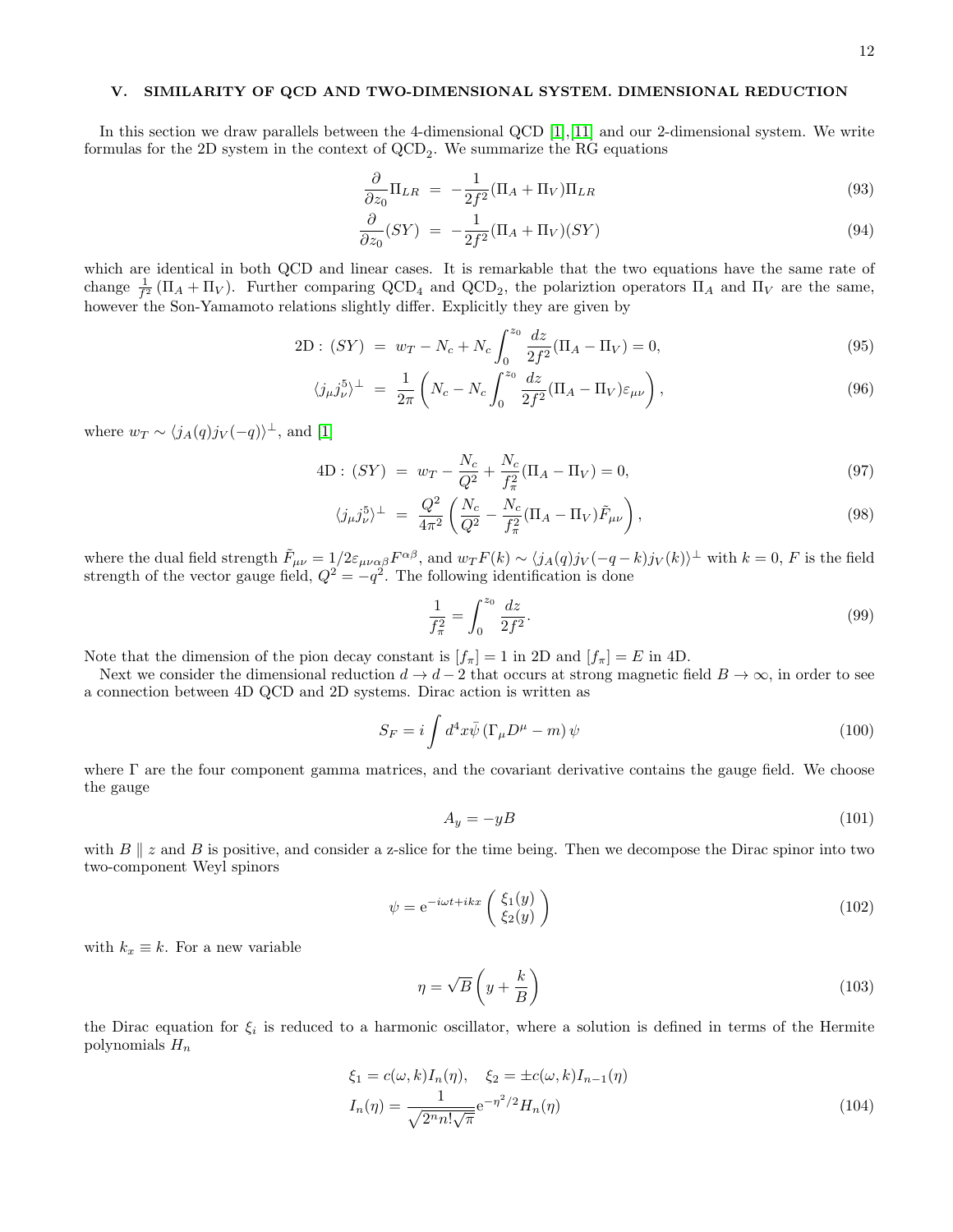### V. SIMILARITY OF QCD AND TWO-DIMENSIONAL SYSTEM. DIMENSIONAL REDUCTION

In this section we draw parallels between the 4-dimensional QCD [\[1\]](#page-20-0),[\[11\]](#page-21-3) and our 2-dimensional system. We write formulas for the 2D system in the context of  $\text{QCD}_2$ . We summarize the RG equations

$$
\frac{\partial}{\partial z_0} \Pi_{LR} = -\frac{1}{2f^2} (\Pi_A + \Pi_V) \Pi_{LR} \tag{93}
$$

$$
\frac{\partial}{\partial z_0}(SY) = -\frac{1}{2f^2}(\Pi_A + \Pi_V)(SY) \tag{94}
$$

which are identical in both QCD and linear cases. It is remarkable that the two equations have the same rate of change  $\frac{1}{f^2}(\Pi_A + \Pi_V)$ . Further comparing QCD<sub>4</sub> and QCD<sub>2</sub>, the polariztion operators  $\Pi_A$  and  $\Pi_V$  are the same, however the Son-Yamamoto relations slightly differ. Explicitly they are given by

$$
2D: (SY) = w_T - N_c + N_c \int_0^{z_0} \frac{dz}{2f^2} (\Pi_A - \Pi_V) = 0,
$$
\n(95)

$$
\langle j_{\mu}j_{\nu}^{5} \rangle^{\perp} = \frac{1}{2\pi} \left( N_c - N_c \int_0^{z_0} \frac{dz}{2f^2} (\Pi_A - \Pi_V) \varepsilon_{\mu\nu} \right), \tag{96}
$$

where  $w_T \sim \langle j_A(q) j_V(-q) \rangle^{\perp}$ , and [\[1\]](#page-20-0)

4D: 
$$
(SY) = w_T - \frac{N_c}{Q^2} + \frac{N_c}{f_\pi^2}(\Pi_A - \Pi_V) = 0,
$$
 (97)

$$
\langle j_{\mu}j_{\nu}^{5}\rangle^{\perp} = \frac{Q^{2}}{4\pi^{2}}\left(\frac{N_{c}}{Q^{2}} - \frac{N_{c}}{f_{\pi}^{2}}(\Pi_{A} - \Pi_{V})\tilde{F}_{\mu\nu}\right),\tag{98}
$$

where the dual field strength  $\tilde{F}_{\mu\nu} = 1/2\varepsilon_{\mu\nu\alpha\beta}F^{\alpha\beta}$ , and  $w_T F(k) \sim \langle j_A(q)j_V(-q-k)j_V(k)\rangle^{\perp}$  with  $k = 0, F$  is the field strength of the vector gauge field,  $Q^2 = -q^2$ . The following identification is done

$$
\frac{1}{f_{\pi}^2} = \int_0^{z_0} \frac{dz}{2f^2}.
$$
\n(99)

Note that the dimension of the pion decay constant is  $[f_{\pi}] = 1$  in 2D and  $[f_{\pi}] = E$  in 4D.

Next we consider the dimensional reduction  $d \to d-2$  that occurs at strong magnetic field  $B \to \infty$ , in order to see a connection between 4D QCD and 2D systems. Dirac action is written as

$$
S_F = i \int d^4x \bar{\psi} \left( \Gamma_\mu D^\mu - m \right) \psi \tag{100}
$$

where Γ are the four component gamma matrices, and the covariant derivative contains the gauge field. We choose the gauge

$$
A_y = -yB \tag{101}
$$

with  $B \parallel z$  and  $B$  is positive, and consider a z-slice for the time being. Then we decompose the Dirac spinor into two two-component Weyl spinors

$$
\psi = e^{-i\omega t + ikx} \begin{pmatrix} \xi_1(y) \\ \xi_2(y) \end{pmatrix}
$$
\n(102)

with  $k_x \equiv k$ . For a new variable

$$
\eta = \sqrt{B} \left( y + \frac{k}{B} \right) \tag{103}
$$

the Dirac equation for  $\xi_i$  is reduced to a harmonic oscillator, where a solution is defined in terms of the Hermite polynomials  $H_n$ 

$$
\xi_1 = c(\omega, k)I_n(\eta), \quad \xi_2 = \pm c(\omega, k)I_{n-1}(\eta)
$$

$$
I_n(\eta) = \frac{1}{\sqrt{2^n n! \sqrt{\pi}}} e^{-\eta^2/2} H_n(\eta)
$$
(104)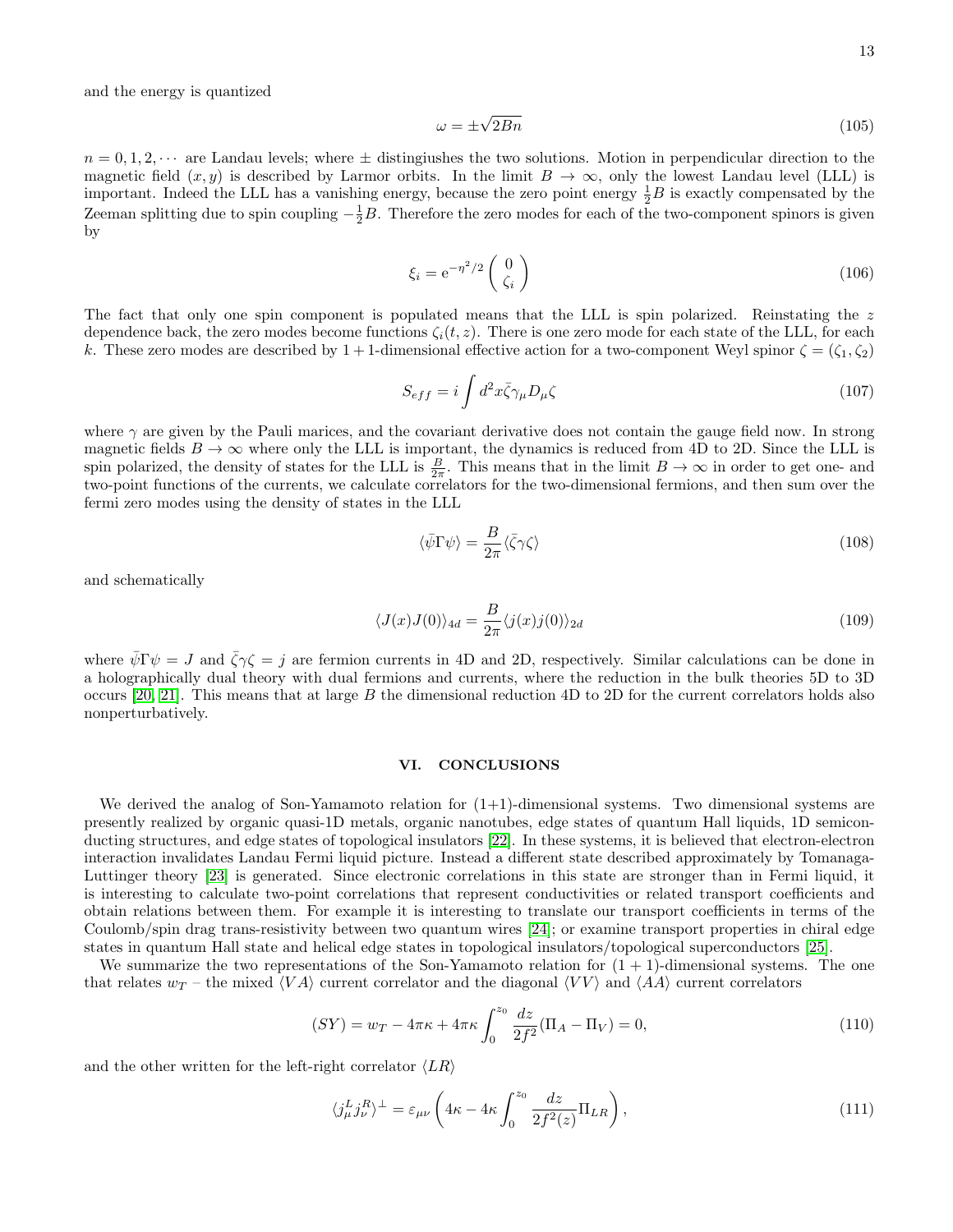and the energy is quantized

$$
\omega = \pm \sqrt{2Bn} \tag{105}
$$

 $n = 0, 1, 2, \dots$  are Landau levels; where  $\pm$  distingiushes the two solutions. Motion in perpendicular direction to the magnetic field  $(x, y)$  is described by Larmor orbits. In the limit  $B \to \infty$ , only the lowest Landau level (LLL) is important. Indeed the LLL has a vanishing energy, because the zero point energy  $\frac{1}{2}B$  is exactly compensated by the Zeeman splitting due to spin coupling  $-\frac{1}{2}B$ . Therefore the zero modes for each of the two-component spinors is given by

$$
\xi_i = e^{-\eta^2/2} \begin{pmatrix} 0 \\ \zeta_i \end{pmatrix} \tag{106}
$$

The fact that only one spin component is populated means that the LLL is spin polarized. Reinstating the z dependence back, the zero modes become functions  $\zeta_i(t, z)$ . There is one zero mode for each state of the LLL, for each k. These zero modes are described by  $1+1$ -dimensional effective action for a two-component Weyl spinor  $\zeta = (\zeta_1, \zeta_2)$ 

$$
S_{eff} = i \int d^2x \bar{\zeta} \gamma_\mu D_\mu \zeta \tag{107}
$$

where  $\gamma$  are given by the Pauli marices, and the covariant derivative does not contain the gauge field now. In strong magnetic fields  $B \to \infty$  where only the LLL is important, the dynamics is reduced from 4D to 2D. Since the LLL is spin polarized, the density of states for the LLL is  $\frac{B}{2\pi}$ . This means that in the limit  $B \to \infty$  in order to get one- and two-point functions of the currents, we calculate correlators for the two-dimensional fermions, and then sum over the fermi zero modes using the density of states in the LLL

$$
\langle \bar{\psi} \Gamma \psi \rangle = \frac{B}{2\pi} \langle \bar{\zeta} \gamma \zeta \rangle \tag{108}
$$

and schematically

$$
\langle J(x)J(0)\rangle_{4d} = \frac{B}{2\pi} \langle j(x)j(0)\rangle_{2d} \tag{109}
$$

where  $\bar{\psi} \Gamma \psi = J$  and  $\bar{\zeta} \gamma \zeta = j$  are fermion currents in 4D and 2D, respectively. Similar calculations can be done in a holographically dual theory with dual fermions and currents, where the reduction in the bulk theories 5D to 3D occurs [\[20,](#page-21-9) [21\]](#page-21-10). This means that at large  $B$  the dimensional reduction  $4D$  to 2D for the current correlators holds also nonperturbatively.

### VI. CONCLUSIONS

We derived the analog of Son-Yamamoto relation for  $(1+1)$ -dimensional systems. Two dimensional systems are presently realized by organic quasi-1D metals, organic nanotubes, edge states of quantum Hall liquids, 1D semiconducting structures, and edge states of topological insulators [\[22\]](#page-21-11). In these systems, it is believed that electron-electron interaction invalidates Landau Fermi liquid picture. Instead a different state described approximately by Tomanaga-Luttinger theory [\[23\]](#page-21-12) is generated. Since electronic correlations in this state are stronger than in Fermi liquid, it is interesting to calculate two-point correlations that represent conductivities or related transport coefficients and obtain relations between them. For example it is interesting to translate our transport coefficients in terms of the Coulomb/spin drag trans-resistivity between two quantum wires [\[24\]](#page-21-13); or examine transport properties in chiral edge states in quantum Hall state and helical edge states in topological insulators/topological superconductors [\[25\]](#page-21-14).

We summarize the two representations of the Son-Yamamoto relation for  $(1 + 1)$ -dimensional systems. The one that relates  $w_T$  – the mixed  $\langle VA \rangle$  current correlator and the diagonal  $\langle VV \rangle$  and  $\langle AA \rangle$  current correlators

$$
(SY) = w_T - 4\pi\kappa + 4\pi\kappa \int_0^{z_0} \frac{dz}{2f^2} (\Pi_A - \Pi_V) = 0,
$$
\n(110)

and the other written for the left-right correlator  $\langle LR \rangle$ 

$$
\langle j_{\mu}^{L} j_{\nu}^{R} \rangle^{\perp} = \varepsilon_{\mu\nu} \left( 4\kappa - 4\kappa \int_{0}^{z_{0}} \frac{dz}{2f^{2}(z)} \Pi_{LR} \right), \tag{111}
$$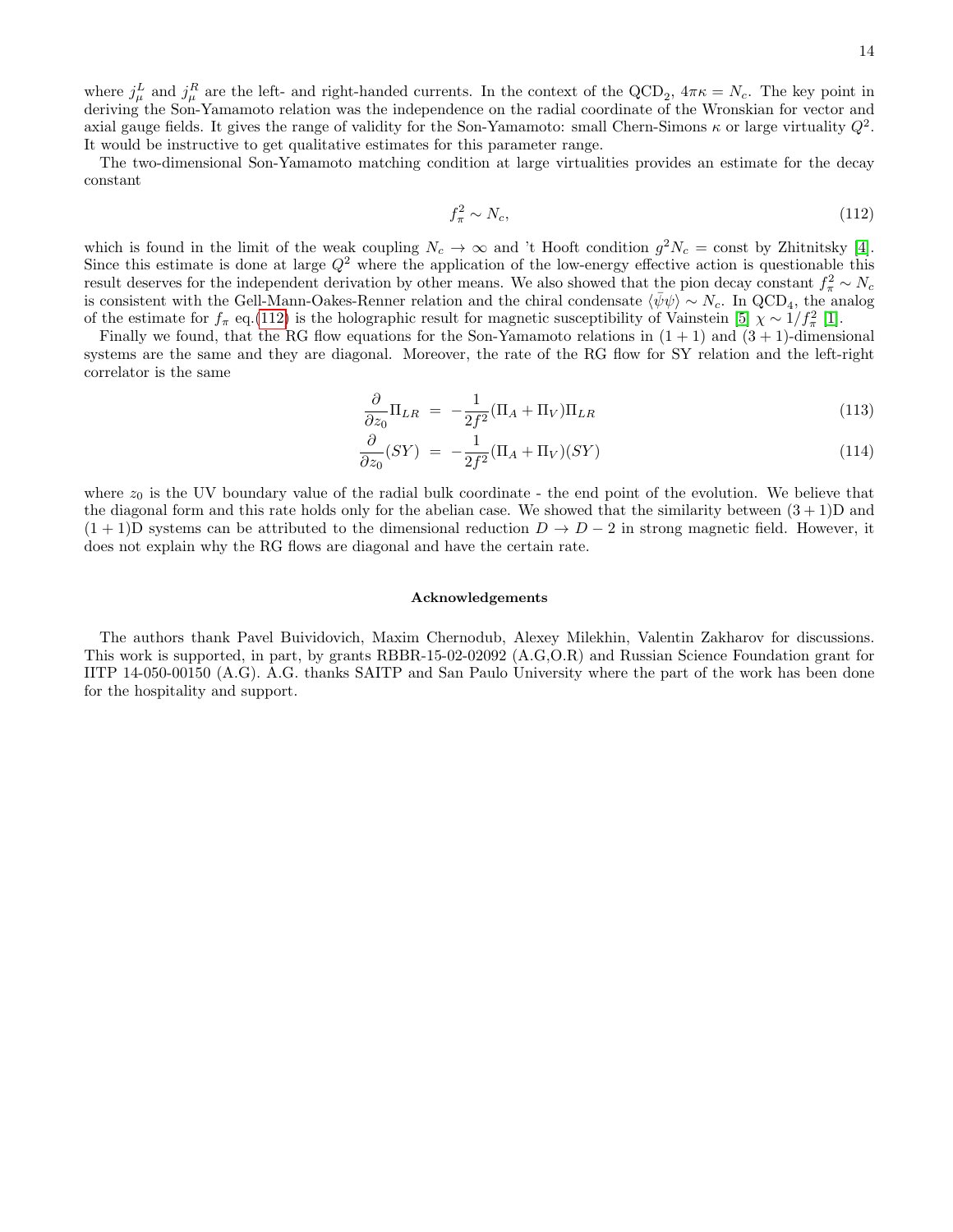The two-dimensional Son-Yamamoto matching condition at large virtualities provides an estimate for the decay constant

<span id="page-13-0"></span>
$$
f_{\pi}^2 \sim N_c,\tag{112}
$$

which is found in the limit of the weak coupling  $N_c \to \infty$  and 't Hooft condition  $g^2 N_c = \text{const}$  by Zhitnitsky [\[4\]](#page-20-3). Since this estimate is done at large  $Q^2$  where the application of the low-energy effective action is questionable this result deserves for the independent derivation by other means. We also showed that the pion decay constant  $f_{\pi}^2 \sim N_c$ is consistent with the Gell-Mann-Oakes-Renner relation and the chiral condensate  $\langle \bar{\psi}\psi \rangle \sim N_c$ . In QCD<sub>4</sub>, the analog of the estimate for  $f_{\pi}$  eq.[\(112\)](#page-13-0) is the holographic result for magnetic susceptibility of Vainstein [\[5\]](#page-20-4)  $\chi \sim 1/f_{\pi}^2$  [\[1\]](#page-20-0).

Finally we found, that the RG flow equations for the Son-Yamamoto relations in  $(1 + 1)$  and  $(3 + 1)$ -dimensional systems are the same and they are diagonal. Moreover, the rate of the RG flow for SY relation and the left-right correlator is the same

$$
\frac{\partial}{\partial z_0} \Pi_{LR} = -\frac{1}{2f^2} (\Pi_A + \Pi_V) \Pi_{LR} \tag{113}
$$

$$
\frac{\partial}{\partial z_0}(SY) = -\frac{1}{2f^2}(\Pi_A + \Pi_V)(SY) \tag{114}
$$

where  $z_0$  is the UV boundary value of the radial bulk coordinate - the end point of the evolution. We believe that the diagonal form and this rate holds only for the abelian case. We showed that the similarity between  $(3 + 1)D$  and  $(1 + 1)$ D systems can be attributed to the dimensional reduction  $D \to D - 2$  in strong magnetic field. However, it does not explain why the RG flows are diagonal and have the certain rate.

#### Acknowledgements

The authors thank Pavel Buividovich, Maxim Chernodub, Alexey Milekhin, Valentin Zakharov for discussions. This work is supported, in part, by grants RBBR-15-02-02092 (A.G,O.R) and Russian Science Foundation grant for IITP 14-050-00150 (A.G). A.G. thanks SAITP and San Paulo University where the part of the work has been done for the hospitality and support.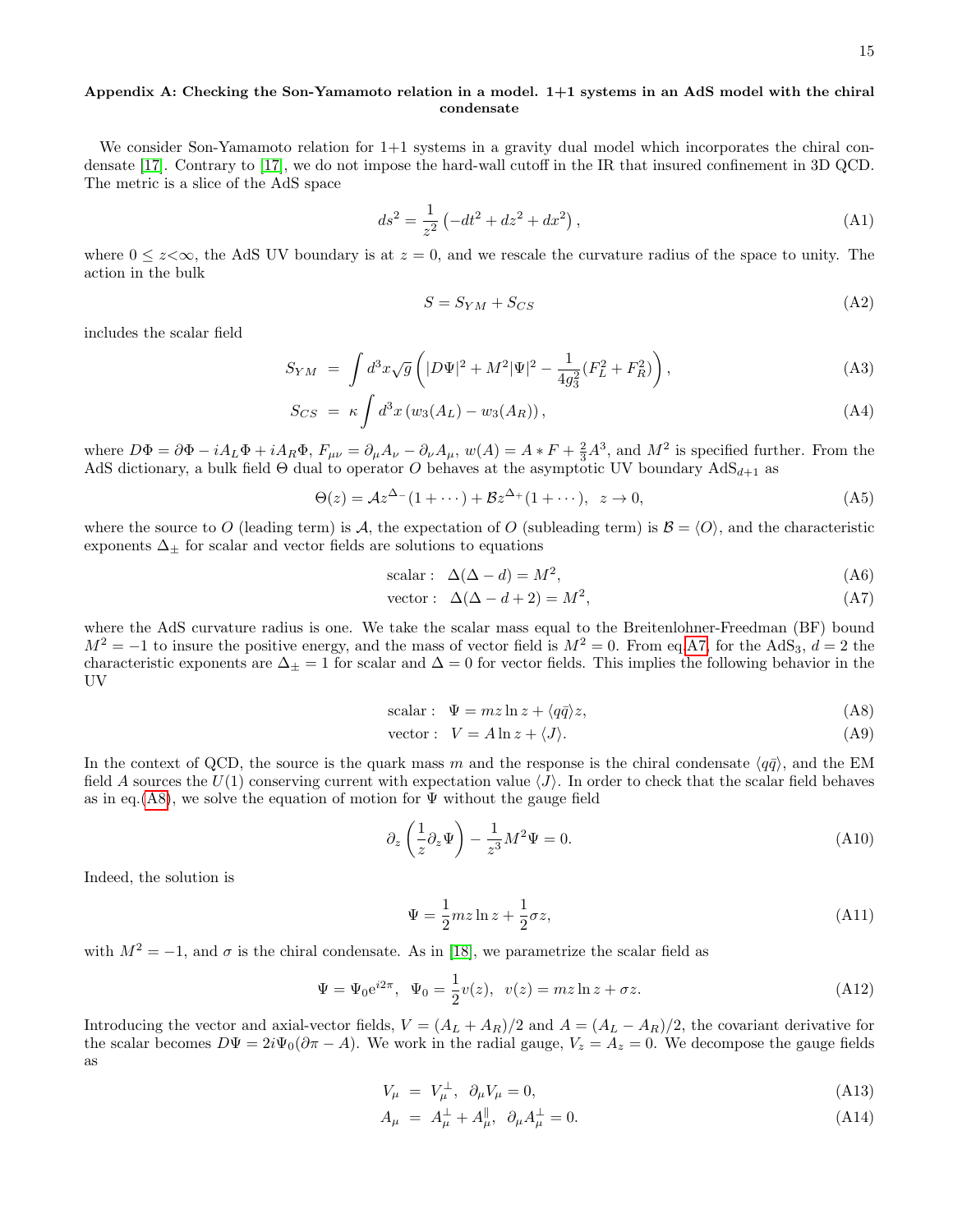# Appendix A: Checking the Son-Yamamoto relation in a model. 1+1 systems in an AdS model with the chiral condensate

We consider Son-Yamamoto relation for  $1+1$  systems in a gravity dual model which incorporates the chiral condensate [\[17\]](#page-21-15). Contrary to [\[17\]](#page-21-15), we do not impose the hard-wall cutoff in the IR that insured confinement in 3D QCD. The metric is a slice of the AdS space

$$
ds^{2} = \frac{1}{z^{2}} \left( -dt^{2} + dz^{2} + dx^{2} \right),
$$
 (A1)

where  $0 \le z \infty$ , the AdS UV boundary is at  $z = 0$ , and we rescale the curvature radius of the space to unity. The action in the bulk

$$
S = S_{YM} + S_{CS} \tag{A2}
$$

includes the scalar field

<span id="page-14-2"></span>
$$
S_{YM} = \int d^3x \sqrt{g} \left( |D\Psi|^2 + M^2 |\Psi|^2 - \frac{1}{4g_3^2} (F_L^2 + F_R^2) \right), \tag{A3}
$$

$$
S_{CS} = \kappa \int d^3x \left( w_3(A_L) - w_3(A_R) \right), \tag{A4}
$$

where  $D\Phi = \partial \Phi - iA_L\Phi + iA_R\Phi$ ,  $F_{\mu\nu} = \partial_\mu A_\nu - \partial_\nu A_\mu$ ,  $w(A) = A * F + \frac{2}{3}A^3$ , and  $M^2$  is specified further. From the AdS dictionary, a bulk field Θ dual to operator O behaves at the asymptotic UV boundary  $AdS_{d+1}$  as

$$
\Theta(z) = \mathcal{A}z^{\Delta_-}(1 + \cdots) + \mathcal{B}z^{\Delta_+}(1 + \cdots), \ \ z \to 0,
$$
\n(A5)

where the source to O (leading term) is A, the expectation of O (subleading term) is  $\mathcal{B} = \langle O \rangle$ , and the characteristic exponents  $\Delta_{\pm}$  for scalar and vector fields are solutions to equations

scalar: 
$$
\Delta(\Delta - d) = M^2
$$
, (A6)

<span id="page-14-0"></span>vector: 
$$
\Delta(\Delta - d + 2) = M^2,
$$
 (A7)

where the AdS curvature radius is one. We take the scalar mass equal to the Breitenlohner-Freedman (BF) bound  $M^2 = -1$  to insure the positive energy, and the mass of vector field is  $M^2 = 0$ . From eq[.A7,](#page-14-0) for the AdS<sub>3</sub>,  $d = 2$  the characteristic exponents are  $\Delta_{\pm} = 1$  for scalar and  $\Delta = 0$  for vector fields. This implies the following behavior in the UV

<span id="page-14-1"></span>scalar: 
$$
\Psi = mz \ln z + \langle q\bar{q} \rangle z,
$$
 (A8)

vector: 
$$
V = A \ln z + \langle J \rangle
$$
. (A9)

In the context of QCD, the source is the quark mass m and the response is the chiral condensate  $\langle q\bar{q}\rangle$ , and the EM field A sources the  $U(1)$  conserving current with expectation value  $\langle J \rangle$ . In order to check that the scalar field behaves as in eq.[\(A8\)](#page-14-1), we solve the equation of motion for  $\Psi$  without the gauge field

$$
\partial_z \left( \frac{1}{z} \partial_z \Psi \right) - \frac{1}{z^3} M^2 \Psi = 0. \tag{A10}
$$

Indeed, the solution is

<span id="page-14-4"></span>
$$
\Psi = \frac{1}{2}mz \ln z + \frac{1}{2}\sigma z,\tag{A11}
$$

with  $M^2 = -1$ , and  $\sigma$  is the chiral condensate. As in [\[18\]](#page-21-16), we parametrize the scalar field as

<span id="page-14-3"></span>
$$
\Psi = \Psi_0 e^{i2\pi}, \ \Psi_0 = \frac{1}{2}v(z), \ v(z) = mz \ln z + \sigma z.
$$
 (A12)

Introducing the vector and axial-vector fields,  $V = (A_L + A_R)/2$  and  $A = (A_L - A_R)/2$ , the covariant derivative for the scalar becomes  $D\Psi = 2i\Psi_0(\partial \pi - A)$ . We work in the radial gauge,  $V_z = A_z = 0$ . We decompose the gauge fields as

$$
V_{\mu} = V_{\mu}^{\perp}, \quad \partial_{\mu} V_{\mu} = 0,\tag{A13}
$$

$$
A_{\mu} = A_{\mu}^{\perp} + A_{\mu}^{\parallel}, \ \partial_{\mu} A_{\mu}^{\perp} = 0. \tag{A14}
$$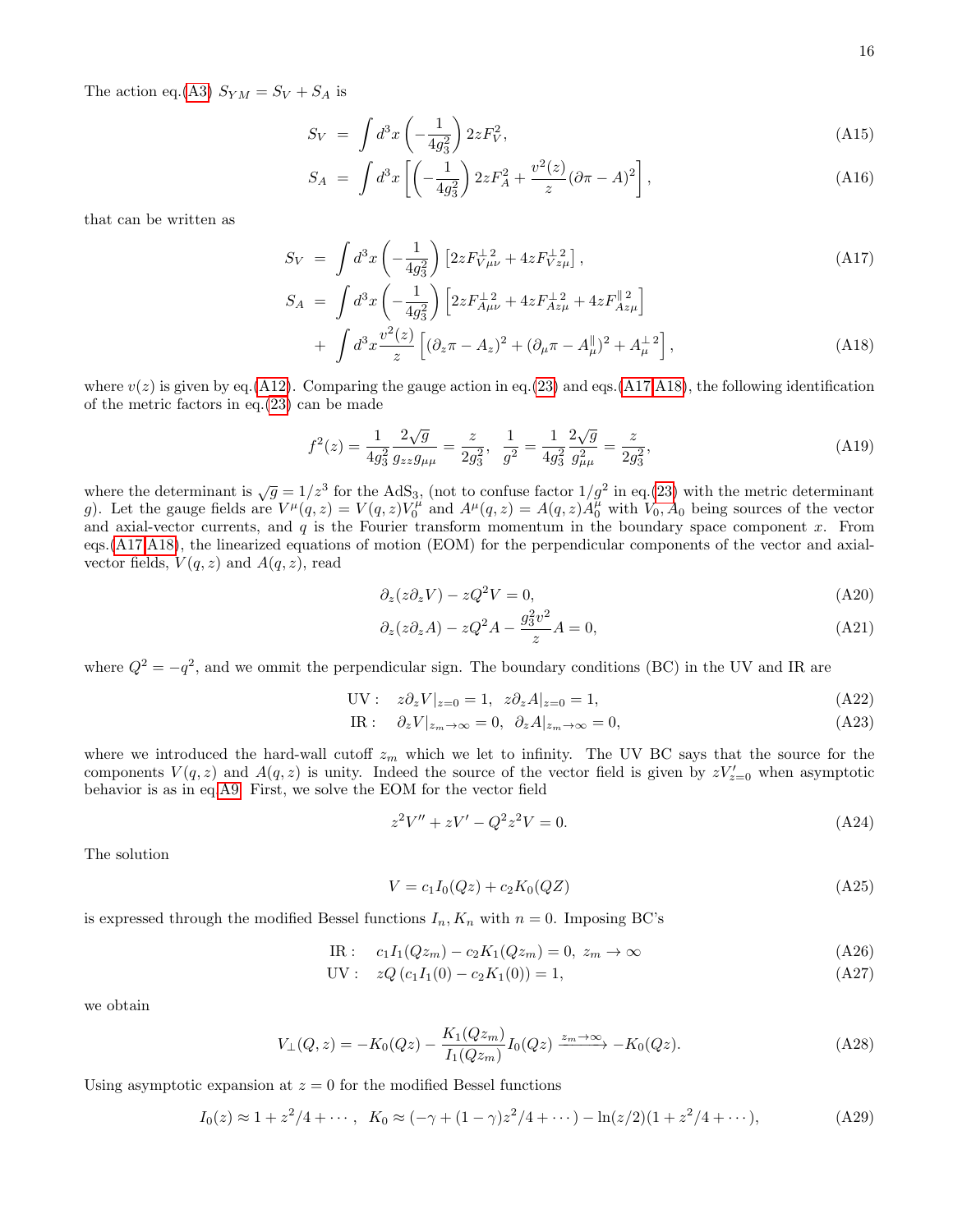The action eq.[\(A3\)](#page-14-2)  $S_{YM} = S_V + S_A$  is

$$
S_V = \int d^3x \left( -\frac{1}{4g_3^2} \right) 2z F_V^2, \tag{A15}
$$

$$
S_A = \int d^3x \left[ \left( -\frac{1}{4g_3^2} \right) 2z F_A^2 + \frac{v^2(z)}{z} (\partial \pi - A)^2 \right], \tag{A16}
$$

that can be written as

<span id="page-15-0"></span>
$$
S_V = \int d^3x \left( -\frac{1}{4g_3^2} \right) \left[ 2z F_{V\mu\nu}^{\perp 2} + 4z F_{Vz\mu}^{\perp 2} \right],
$$
\n(A17)  
\n
$$
S_A = \int d^3x \left( -\frac{1}{4g_3^2} \right) \left[ 2z F_{A\mu\nu}^{\perp 2} + 4z F_{Az\mu}^{\perp 2} + 4z F_{Az\mu}^{\parallel 2} \right]
$$
\n
$$
+ \int d^3x \frac{v^2(z)}{z} \left[ (\partial_z \pi - A_z)^2 + (\partial_\mu \pi - A_\mu^{\parallel})^2 + A_\mu^{\perp 2} \right],
$$
\n(A18)

where  $v(z)$  is given by eq.[\(A12\)](#page-14-3). Comparing the gauge action in eq.[\(23\)](#page-3-2) and eqs.[\(A17,A18\)](#page-15-0), the following identification of the metric factors in eq.[\(23\)](#page-3-2) can be made

<span id="page-15-2"></span>
$$
f^{2}(z) = \frac{1}{4g_{3}^{2}} \frac{2\sqrt{g}}{g_{zz}g_{\mu\mu}} = \frac{z}{2g_{3}^{2}}, \quad \frac{1}{g^{2}} = \frac{1}{4g_{3}^{2}} \frac{2\sqrt{g}}{g_{\mu\mu}^{2}} = \frac{z}{2g_{3}^{2}},
$$
(A19)

where the determinant is  $\sqrt{g} = 1/z^3$  for the AdS<sub>3</sub>, (not to confuse factor  $1/g^2$  in eq.[\(23\)](#page-3-2) with the metric determinant g). Let the gauge fields are  $V^{\mu}(q, z) = V(q, z)V_0^{\mu}$  and  $A^{\mu}(q, z) = A(q, z)A_0^{\mu}$  with  $V_0$ ,  $A_0$  being sources of the vector and axial-vector currents, and  $q$  is the Fourier transform momentum in the boundary space component  $x$ . From eqs.[\(A17,A18\)](#page-15-0), the linearized equations of motion (EOM) for the perpendicular components of the vector and axialvector fields,  $V(q, z)$  and  $A(q, z)$ , read

$$
\partial_z(z\partial_z V) - zQ^2 V = 0,\tag{A20}
$$

$$
\partial_z(z\partial_z A) - zQ^2 A - \frac{g_3^2 v^2}{z} A = 0,\tag{A21}
$$

where  $Q^2 = -q^2$ , and we ommit the perpendicular sign. The boundary conditions (BC) in the UV and IR are

$$
UV: z\partial_z V|_{z=0} = 1, z\partial_z A|_{z=0} = 1,
$$
\n(A22)

IR: 
$$
\partial_z V|_{z_m \to \infty} = 0, \ \partial_z A|_{z_m \to \infty} = 0,
$$
 (A23)

where we introduced the hard-wall cutoff  $z_m$  which we let to infinity. The UV BC says that the source for the components  $V(q, z)$  and  $A(q, z)$  is unity. Indeed the source of the vector field is given by  $zV'_{z=0}$  when asymptotic behavior is as in eq[.A9.](#page-14-1) First, we solve the EOM for the vector field

$$
z^2V'' + zV' - Q^2z^2V = 0.
$$
 (A24)

The solution

$$
V = c_1 I_0(Qz) + c_2 K_0(QZ)
$$
\n(A25)

is expressed through the modified Bessel functions  $I_n$ ,  $K_n$  with  $n = 0$ . Imposing BC's

IR: 
$$
c_1 I_1 (Q z_m) - c_2 K_1 (Q z_m) = 0, z_m \to \infty
$$
 (A26)

$$
UV: zQ(c_1I_1(0) - c_2K_1(0)) = 1,
$$
\n(A27)

we obtain

<span id="page-15-1"></span>
$$
V_{\perp}(Q,z) = -K_0(Qz) - \frac{K_1(Qz_m)}{I_1(Qz_m)} I_0(Qz) \xrightarrow{z_m \to \infty} -K_0(Qz). \tag{A28}
$$

Using asymptotic expansion at  $z = 0$  for the modified Bessel functions

$$
I_0(z) \approx 1 + z^2/4 + \cdots, \quad K_0 \approx (-\gamma + (1 - \gamma)z^2/4 + \cdots) - \ln(z/2)(1 + z^2/4 + \cdots), \tag{A29}
$$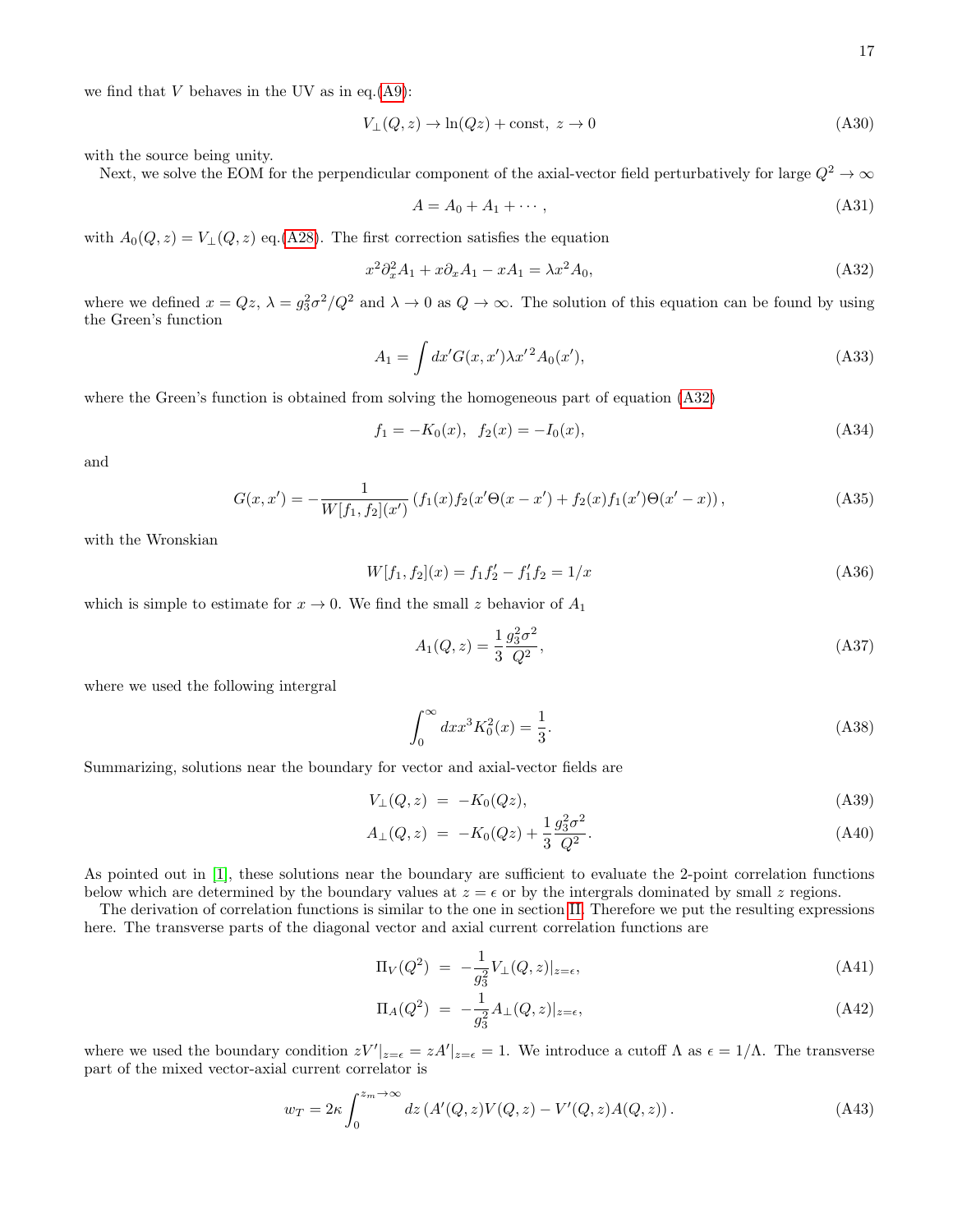we find that  $V$  behaves in the UV as in eq.  $(A9)$ :

$$
V_{\perp}(Q, z) \to \ln(Qz) + \text{const}, \ z \to 0 \tag{A30}
$$

with the source being unity.

Next, we solve the EOM for the perpendicular component of the axial-vector field perturbatively for large  $Q^2 \to \infty$ 

$$
A = A_0 + A_1 + \cdots,\tag{A31}
$$

with  $A_0(Q, z) = V_\perp(Q, z)$  eq.[\(A28\)](#page-15-1). The first correction satisfies the equation

<span id="page-16-0"></span>
$$
x^2 \partial_x^2 A_1 + x \partial_x A_1 - x A_1 = \lambda x^2 A_0,\tag{A32}
$$

where we defined  $x = Qz$ ,  $\lambda = g_3^2\sigma^2/Q^2$  and  $\lambda \to 0$  as  $Q \to \infty$ . The solution of this equation can be found by using the Green's function

$$
A_1 = \int dx' G(x, x') \lambda x'^2 A_0(x'), \tag{A33}
$$

where the Green's function is obtained from solving the homogeneous part of equation [\(A32\)](#page-16-0)

$$
f_1 = -K_0(x), \quad f_2(x) = -I_0(x), \tag{A34}
$$

and

$$
G(x, x') = -\frac{1}{W[f_1, f_2](x')} \left( f_1(x) f_2(x' \Theta(x - x') + f_2(x) f_1(x') \Theta(x' - x) \right),\tag{A35}
$$

with the Wronskian

$$
W[f_1, f_2](x) = f_1 f_2' - f_1' f_2 = 1/x \tag{A36}
$$

which is simple to estimate for  $x \to 0$ . We find the small z behavior of  $A_1$ 

$$
A_1(Q, z) = \frac{1}{3} \frac{g_3^2 \sigma^2}{Q^2},
$$
\n(A37)

where we used the following intergral

$$
\int_0^\infty dx x^3 K_0^2(x) = \frac{1}{3}.\tag{A38}
$$

Summarizing, solutions near the boundary for vector and axial-vector fields are

$$
V_{\perp}(Q, z) = -K_0(Qz), \tag{A39}
$$

$$
A_{\perp}(Q, z) = -K_0(Qz) + \frac{1}{3} \frac{g_3^2 \sigma^2}{Q^2}.
$$
\n(A40)

As pointed out in [\[1\]](#page-20-0), these solutions near the boundary are sufficient to evaluate the 2-point correlation functions below which are determined by the boundary values at  $z = \epsilon$  or by the intergrals dominated by small z regions.

The derivation of correlation functions is similar to the one in section [II.](#page-1-1) Therefore we put the resulting expressions here. The transverse parts of the diagonal vector and axial current correlation functions are

$$
\Pi_V(Q^2) = -\frac{1}{g_3^2} V_\perp(Q, z)|_{z=\epsilon},\tag{A41}
$$

$$
\Pi_A(Q^2) \ = \ -\frac{1}{g_3^2} A_\perp(Q, z)|_{z=\epsilon},\tag{A42}
$$

where we used the boundary condition  $zV'|_{z=\epsilon} = zA'|_{z=\epsilon} = 1$ . We introduce a cutoff  $\Lambda$  as  $\epsilon = 1/\Lambda$ . The transverse part of the mixed vector-axial current correlator is

$$
w_T = 2\kappa \int_0^{z_m \to \infty} dz \left( A'(Q, z) V(Q, z) - V'(Q, z) A(Q, z) \right). \tag{A43}
$$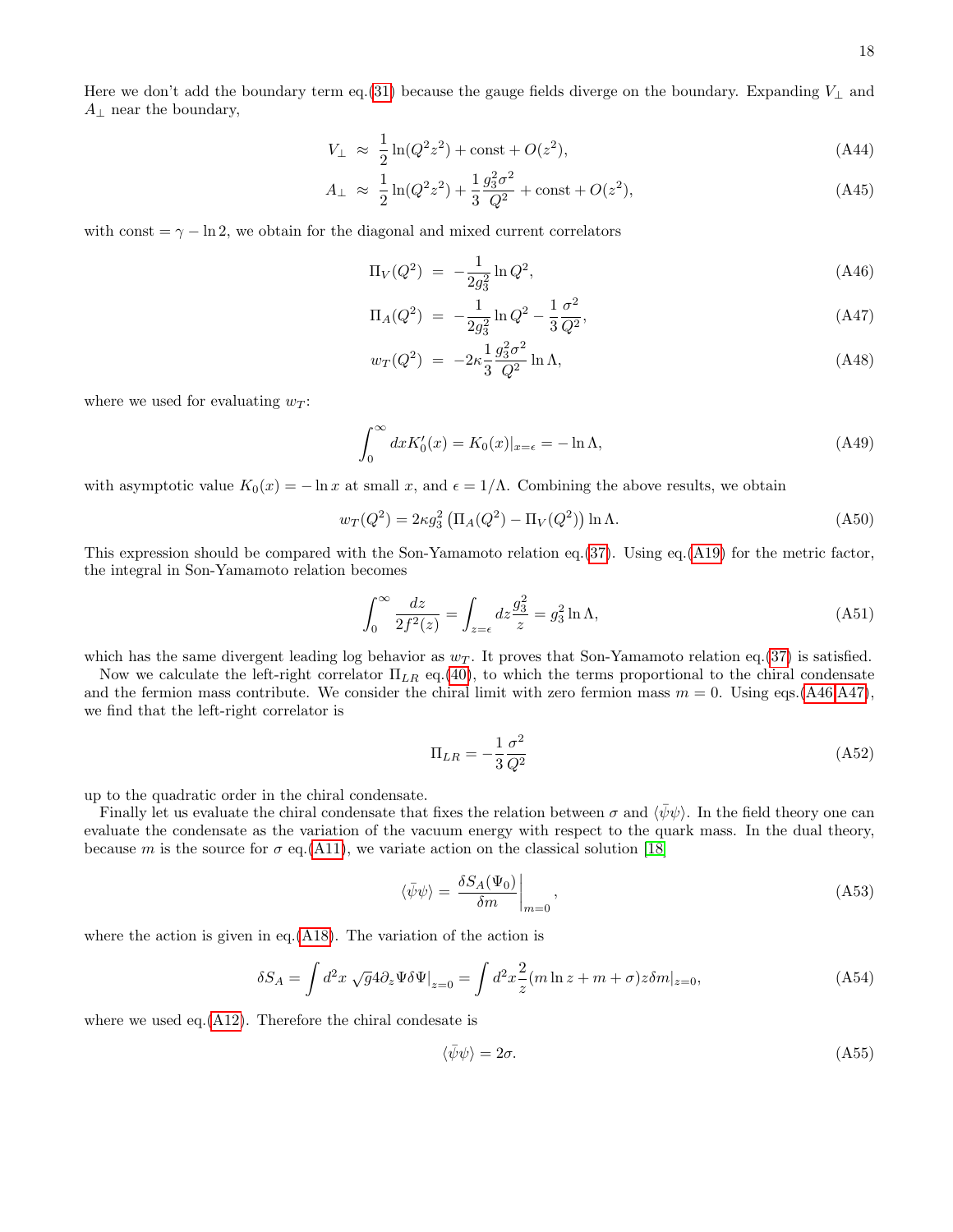Here we don't add the boundary term eq.[\(31\)](#page-4-4) because the gauge fields diverge on the boundary. Expanding  $V_{\perp}$  and  $A_{\perp}$  near the boundary,

$$
V_{\perp} \approx \frac{1}{2}\ln(Q^2 z^2) + \text{const} + O(z^2),\tag{A44}
$$

$$
A_{\perp} \approx \frac{1}{2}\ln(Q^2 z^2) + \frac{1}{3}\frac{g_3^2 \sigma^2}{Q^2} + \text{const} + O(z^2),\tag{A45}
$$

with const  $=\gamma - \ln 2$ , we obtain for the diagonal and mixed current correlators

$$
\Pi_V(Q^2) = -\frac{1}{2g_3^2} \ln Q^2,\tag{A46}
$$

<span id="page-17-0"></span>
$$
\Pi_A(Q^2) = -\frac{1}{2g_3^2} \ln Q^2 - \frac{1}{3} \frac{\sigma^2}{Q^2},\tag{A47}
$$

$$
w_T(Q^2) = -2\kappa \frac{1}{3} \frac{g_3^2 \sigma^2}{Q^2} \ln \Lambda,
$$
\n(A48)

where we used for evaluating  $w_T$ :

$$
\int_0^\infty dx K_0'(x) = K_0(x)|_{x=\epsilon} = -\ln \Lambda,\tag{A49}
$$

with asymptotic value  $K_0(x) = -\ln x$  at small x, and  $\epsilon = 1/\Lambda$ . Combining the above results, we obtain

$$
w_T(Q^2) = 2\kappa g_3^2 \left( \Pi_A(Q^2) - \Pi_V(Q^2) \right) \ln \Lambda.
$$
 (A50)

This expression should be compared with the Son-Yamamoto relation eq.[\(37\)](#page-5-3). Using eq.[\(A19\)](#page-15-2) for the metric factor, the integral in Son-Yamamoto relation becomes

$$
\int_0^\infty \frac{dz}{2f^2(z)} = \int_{z=\epsilon} dz \frac{g_3^2}{z} = g_3^2 \ln \Lambda,\tag{A51}
$$

which has the same divergent leading log behavior as  $w<sub>T</sub>$ . It proves that Son-Yamamoto relation eq.[\(37\)](#page-5-3) is satisfied.

Now we calculate the left-right correlator  $\Pi_{LR}$  eq.[\(40\)](#page-5-4), to which the terms proportional to the chiral condensate and the fermion mass contribute. We consider the chiral limit with zero fermion mass  $m = 0$ . Using eqs.[\(A46,A47\)](#page-17-0), we find that the left-right correlator is

$$
\Pi_{LR} = -\frac{1}{3} \frac{\sigma^2}{Q^2} \tag{A52}
$$

up to the quadratic order in the chiral condensate.

Finally let us evaluate the chiral condensate that fixes the relation between  $\sigma$  and  $\langle \bar{\psi}\psi \rangle$ . In the field theory one can evaluate the condensate as the variation of the vacuum energy with respect to the quark mass. In the dual theory, because m is the source for  $\sigma$  eq.[\(A11\)](#page-14-4), we variate action on the classical solution [\[18\]](#page-21-16)

$$
\langle \bar{\psi}\psi \rangle = \left. \frac{\delta S_A(\Psi_0)}{\delta m} \right|_{m=0},\tag{A53}
$$

where the action is given in eq.  $(A18)$ . The variation of the action is

$$
\delta S_A = \int d^2x \sqrt{g} 4 \partial_z \Psi \delta \Psi \big|_{z=0} = \int d^2x \frac{2}{z} (m \ln z + m + \sigma) z \delta m \big|_{z=0},\tag{A54}
$$

where we used eq.  $(A12)$ . Therefore the chiral condesate is

$$
\langle \bar{\psi}\psi \rangle = 2\sigma. \tag{A55}
$$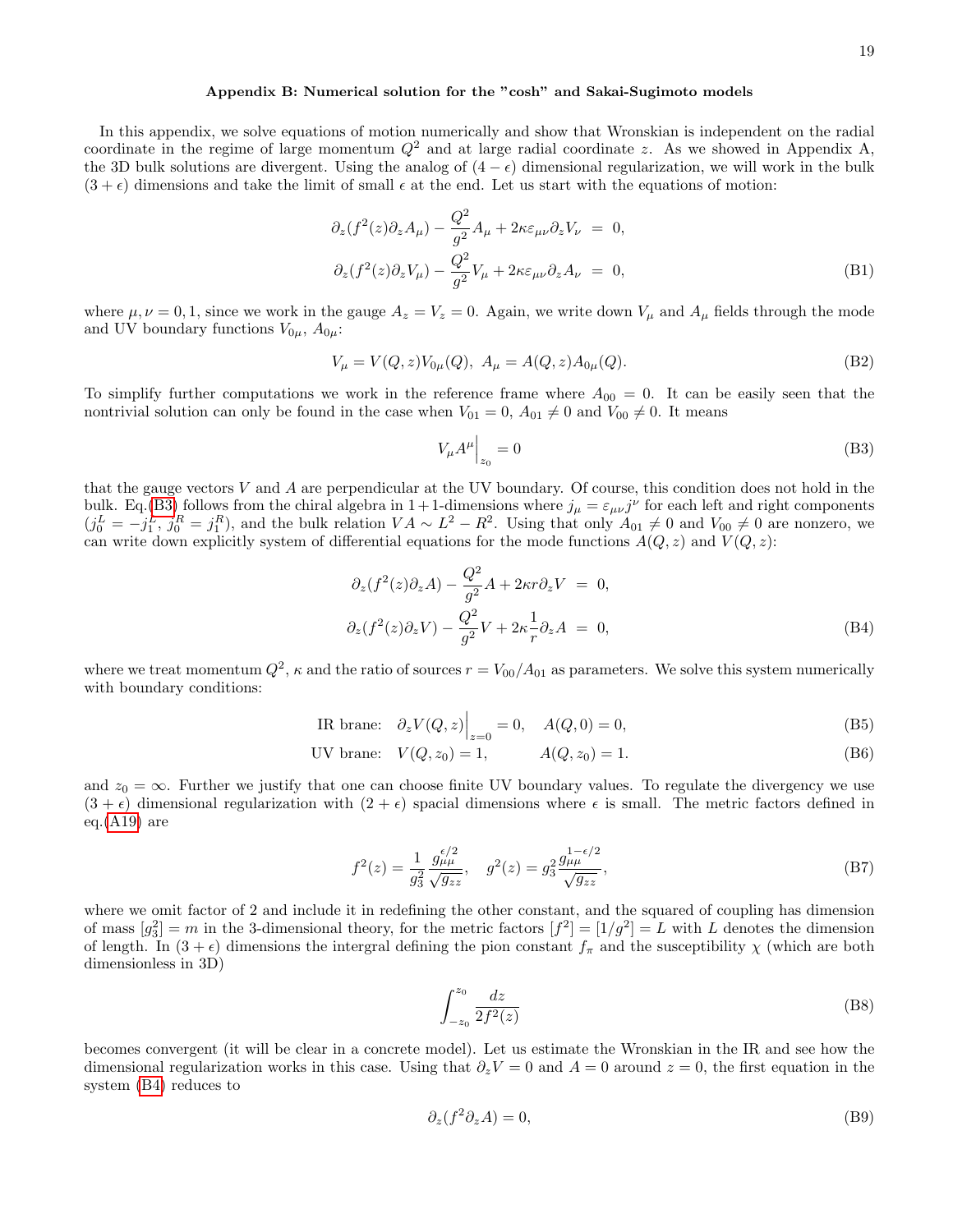## Appendix B: Numerical solution for the "cosh" and Sakai-Sugimoto models

In this appendix, we solve equations of motion numerically and show that Wronskian is independent on the radial coordinate in the regime of large momentum  $Q^2$  and at large radial coordinate z. As we showed in Appendix A, the 3D bulk solutions are divergent. Using the analog of  $(4 - \epsilon)$  dimensional regularization, we will work in the bulk  $(3 + \epsilon)$  dimensions and take the limit of small  $\epsilon$  at the end. Let us start with the equations of motion:

$$
\partial_z(f^2(z)\partial_z A_\mu) - \frac{Q^2}{g^2} A_\mu + 2\kappa \varepsilon_{\mu\nu} \partial_z V_\nu = 0,
$$
  

$$
\partial_z(f^2(z)\partial_z V_\mu) - \frac{Q^2}{g^2} V_\mu + 2\kappa \varepsilon_{\mu\nu} \partial_z A_\nu = 0,
$$
 (B1)

where  $\mu, \nu = 0, 1$ , since we work in the gauge  $A_z = V_z = 0$ . Again, we write down  $V_\mu$  and  $A_\mu$  fields through the mode and UV boundary functions  $V_{0\mu}$ ,  $A_{0\mu}$ :

$$
V_{\mu} = V(Q, z)V_{0\mu}(Q), A_{\mu} = A(Q, z)A_{0\mu}(Q).
$$
 (B2)

To simplify further computations we work in the reference frame where  $A_{00} = 0$ . It can be easily seen that the nontrivial solution can only be found in the case when  $V_{01} = 0$ ,  $A_{01} \neq 0$  and  $V_{00} \neq 0$ . It means

<span id="page-18-0"></span>
$$
V_{\mu}A^{\mu}\Big|_{z_0} = 0\tag{B3}
$$

that the gauge vectors V and A are perpendicular at the UV boundary. Of course, this condition does not hold in the bulk. Eq.[\(B3\)](#page-18-0) follows from the chiral algebra in  $1+1$ -dimensions where  $j_{\mu} = \varepsilon_{\mu\nu}j^{\nu}$  for each left and right components  $(j_0^L = -j_1^L, j_0^R = j_1^R)$ , and the bulk relation  $VA \sim L^2 - R^2$ . Using that only  $A_{01} \neq 0$  and  $V_{00} \neq 0$  are nonzero, we can write down explicitly system of differential equations for the mode functions  $A(Q, z)$  and  $V(Q, z)$ :

<span id="page-18-1"></span>
$$
\partial_z(f^2(z)\partial_z A) - \frac{Q^2}{g^2}A + 2\kappa r \partial_z V = 0,
$$
  
\n
$$
\partial_z(f^2(z)\partial_z V) - \frac{Q^2}{g^2}V + 2\kappa \frac{1}{r}\partial_z A = 0,
$$
\n(B4)

where we treat momentum  $Q^2$ ,  $\kappa$  and the ratio of sources  $r = V_{00}/A_{01}$  as parameters. We solve this system numerically with boundary conditions:

IR brane: 
$$
\partial_z V(Q, z) \Big|_{z=0} = 0
$$
,  $A(Q, 0) = 0$ , (B5)

UV brane: 
$$
V(Q, z_0) = 1
$$
,  $A(Q, z_0) = 1$ . (B6)

and  $z_0 = \infty$ . Further we justify that one can choose finite UV boundary values. To regulate the divergency we use  $(3 + \epsilon)$  dimensional regularization with  $(2 + \epsilon)$  spacial dimensions where  $\epsilon$  is small. The metric factors defined in eq. $(A19)$  are

<span id="page-18-2"></span>
$$
f^{2}(z) = \frac{1}{g_{3}^{2}} \frac{g_{\mu\mu}^{\epsilon/2}}{\sqrt{g_{zz}}}, \quad g^{2}(z) = g_{3}^{2} \frac{g_{\mu\mu}^{1-\epsilon/2}}{\sqrt{g_{zz}}},
$$
(B7)

where we omit factor of 2 and include it in redefining the other constant, and the squared of coupling has dimension of mass  $[g_3^2] = m$  in the 3-dimensional theory, for the metric factors  $[f^2] = [1/g^2] = L$  with L denotes the dimension of length. In  $(3 + \epsilon)$  dimensions the intergral defining the pion constant  $f_{\pi}$  and the susceptibility  $\chi$  (which are both dimensionless in 3D)

$$
\int_{-z_0}^{z_0} \frac{dz}{2f^2(z)}\tag{B8}
$$

becomes convergent (it will be clear in a concrete model). Let us estimate the Wronskian in the IR and see how the dimensional regularization works in this case. Using that  $\partial_z V = 0$  and  $A = 0$  around  $z = 0$ , the first equation in the system [\(B4\)](#page-18-1) reduces to

$$
\partial_z(f^2 \partial_z A) = 0,\tag{B9}
$$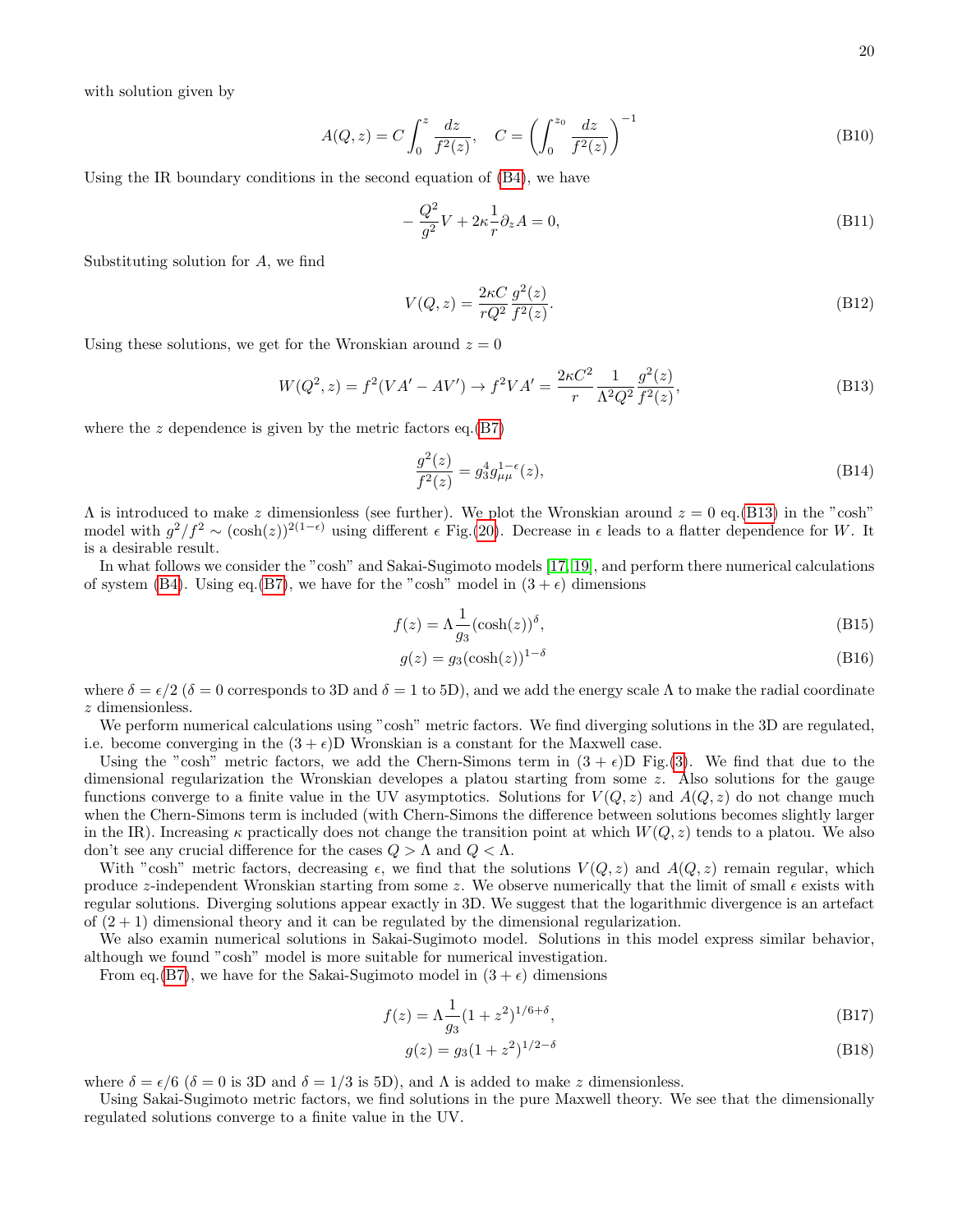with solution given by

$$
A(Q, z) = C \int_0^z \frac{dz}{f^2(z)}, \quad C = \left( \int_0^{z_0} \frac{dz}{f^2(z)} \right)^{-1}
$$
 (B10)

Using the IR boundary conditions in the second equation of [\(B4\)](#page-18-1), we have

$$
-\frac{Q^2}{g^2}V + 2\kappa \frac{1}{r}\partial_z A = 0,
$$
\n(B11)

Substituting solution for A, we find

$$
V(Q, z) = \frac{2\kappa C}{rQ^2} \frac{g^2(z)}{f^2(z)}.
$$
\n(B12)

Using these solutions, we get for the Wronskian around  $z = 0$ 

<span id="page-19-0"></span>
$$
W(Q^2, z) = f^2(VA' - AV') \to f^2VA' = \frac{2\kappa C^2}{r} \frac{1}{\Lambda^2 Q^2} \frac{g^2(z)}{f^2(z)},
$$
\n(B13)

where the  $z$  dependence is given by the metric factors eq. $(B7)$ 

$$
\frac{g^2(z)}{f^2(z)} = g_3^4 g_{\mu\mu}^{1-\epsilon}(z),\tag{B14}
$$

 $\Lambda$  is introduced to make z dimensionless (see further). We plot the Wronskian around  $z = 0$  eq.[\(B13\)](#page-19-0) in the "cosh" model with  $g^2/f^2 \sim (\cosh(z))^{2(1-\epsilon)}$  using different  $\epsilon$  Fig.[\(20\)](#page-3-0). Decrease in  $\epsilon$  leads to a flatter dependence for W. It is a desirable result.

In what follows we consider the "cosh" and Sakai-Sugimoto models [\[17,](#page-21-15) [19\]](#page-21-17), and perform there numerical calculations of system [\(B4\)](#page-18-1). Using eq.[\(B7\)](#page-18-2), we have for the "cosh" model in  $(3 + \epsilon)$  dimensions

$$
f(z) = \Lambda \frac{1}{g_3} (\cosh(z))^\delta,
$$
 (B15)

$$
g(z) = g_3(\cosh(z))^{1-\delta} \tag{B16}
$$

where  $\delta = \epsilon/2$  ( $\delta = 0$  corresponds to 3D and  $\delta = 1$  to 5D), and we add the energy scale  $\Lambda$  to make the radial coordinate z dimensionless.

We perform numerical calculations using "cosh" metric factors. We find diverging solutions in the 3D are regulated, i.e. become converging in the  $(3 + \epsilon)$ D Wronskian is a constant for the Maxwell case.

Using the "cosh" metric factors, we add the Chern-Simons term in  $(3 + \epsilon)D$  Fig.[\(3\)](#page-20-7). We find that due to the dimensional regularization the Wronskian developes a platou starting from some z. Also solutions for the gauge functions converge to a finite value in the UV asymptotics. Solutions for  $V(Q, z)$  and  $A(Q, z)$  do not change much when the Chern-Simons term is included (with Chern-Simons the difference between solutions becomes slightly larger in the IR). Increasing  $\kappa$  practically does not change the transition point at which  $W(Q, z)$  tends to a platou. We also don't see any crucial difference for the cases  $Q > Λ$  and  $Q < Λ$ .

With "cosh" metric factors, decreasing  $\epsilon$ , we find that the solutions  $V(Q, z)$  and  $A(Q, z)$  remain regular, which produce z-independent Wronskian starting from some z. We observe numerically that the limit of small  $\epsilon$  exists with regular solutions. Diverging solutions appear exactly in 3D. We suggest that the logarithmic divergence is an artefact of  $(2 + 1)$  dimensional theory and it can be regulated by the dimensional regularization.

We also examin numerical solutions in Sakai-Sugimoto model. Solutions in this model express similar behavior, although we found "cosh" model is more suitable for numerical investigation.

From eq.[\(B7\)](#page-18-2), we have for the Sakai-Sugimoto model in  $(3 + \epsilon)$  dimensions

$$
f(z) = \Lambda \frac{1}{g_3} (1 + z^2)^{1/6 + \delta},\tag{B17}
$$

$$
g(z) = g_3(1 + z^2)^{1/2 - \delta} \tag{B18}
$$

where  $\delta = \epsilon/6$  ( $\delta = 0$  is 3D and  $\delta = 1/3$  is 5D), and  $\Lambda$  is added to make z dimensionless.

Using Sakai-Sugimoto metric factors, we find solutions in the pure Maxwell theory. We see that the dimensionally regulated solutions converge to a finite value in the UV.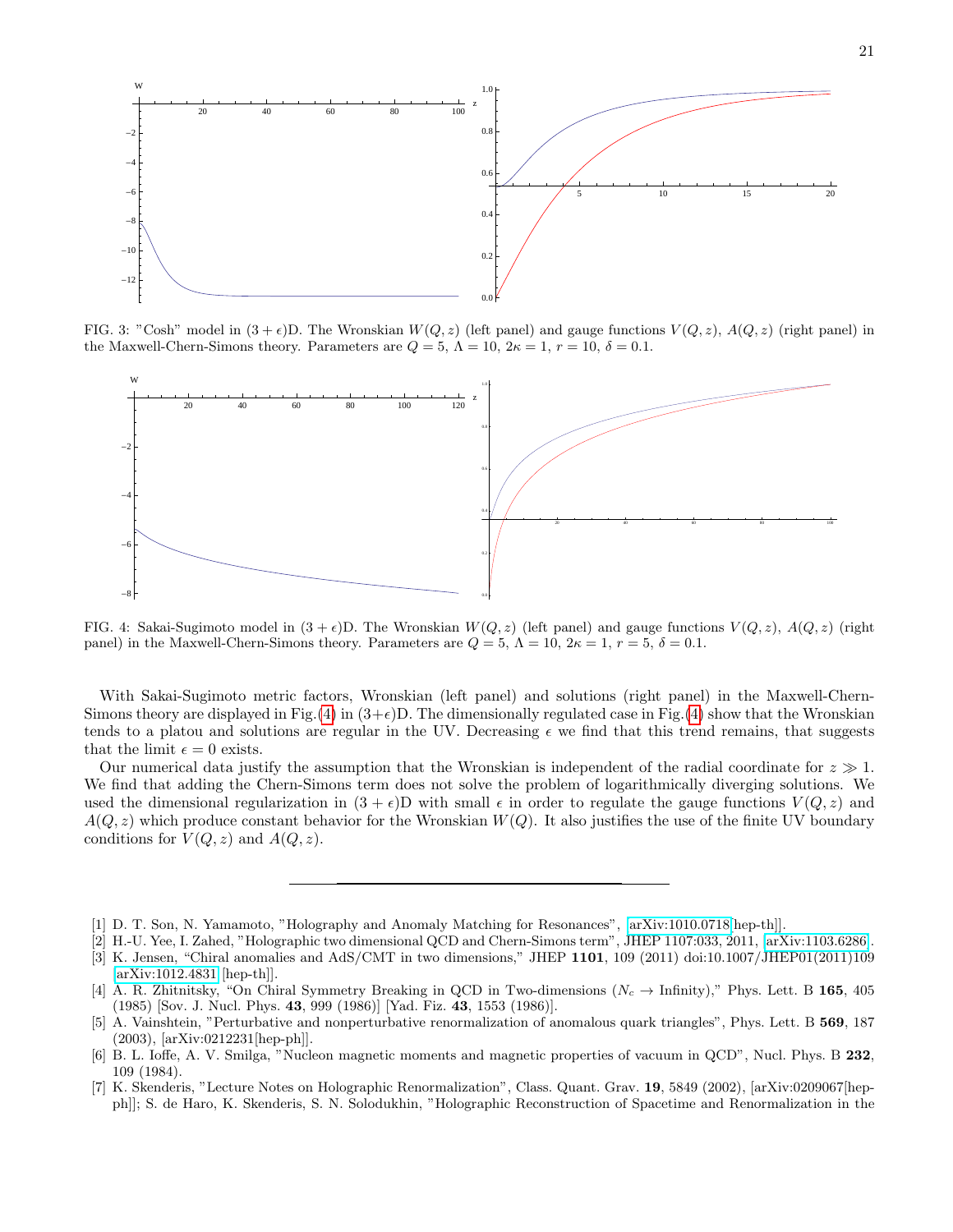

<span id="page-20-7"></span>FIG. 3: "Cosh" model in  $(3 + \epsilon)D$ . The Wronskian  $W(Q, z)$  (left panel) and gauge functions  $V(Q, z)$ ,  $A(Q, z)$  (right panel) in the Maxwell-Chern-Simons theory. Parameters are  $Q = 5$ ,  $\Lambda = 10$ ,  $2\kappa = 1$ ,  $r = 10$ ,  $\delta = 0.1$ .



<span id="page-20-8"></span>FIG. 4: Sakai-Sugimoto model in  $(3 + \epsilon)D$ . The Wronskian  $W(Q, z)$  (left panel) and gauge functions  $V(Q, z)$ ,  $A(Q, z)$  (right panel) in the Maxwell-Chern-Simons theory. Parameters are  $Q = 5$ ,  $\Lambda = 10$ ,  $2\kappa = 1$ ,  $r = 5$ ,  $\delta = 0.1$ .

With Sakai-Sugimoto metric factors, Wronskian (left panel) and solutions (right panel) in the Maxwell-Chern-Simons theory are displayed in Fig.[\(4\)](#page-20-8) in  $(3+\epsilon)D$ . The dimensionally regulated case in Fig.(4) show that the Wronskian tends to a platou and solutions are regular in the UV. Decreasing  $\epsilon$  we find that this trend remains, that suggests that the limit  $\epsilon = 0$  exists.

Our numerical data justify the assumption that the Wronskian is independent of the radial coordinate for  $z \gg 1$ . We find that adding the Chern-Simons term does not solve the problem of logarithmically diverging solutions. We used the dimensional regularization in  $(3 + \epsilon)D$  with small  $\epsilon$  in order to regulate the gauge functions  $V(Q, z)$  and  $A(Q, z)$  which produce constant behavior for the Wronskian  $W(Q)$ . It also justifies the use of the finite UV boundary conditions for  $V(Q, z)$  and  $A(Q, z)$ .

- <span id="page-20-4"></span>[5] A. Vainshtein, "Perturbative and nonperturbative renormalization of anomalous quark triangles", Phys. Lett. B 569, 187 (2003), [arXiv:0212231[hep-ph]].
- <span id="page-20-5"></span>[6] B. L. Ioffe, A. V. Smilga, "Nucleon magnetic moments and magnetic properties of vacuum in QCD", Nucl. Phys. B 232, 109 (1984).
- <span id="page-20-6"></span>[7] K. Skenderis, "Lecture Notes on Holographic Renormalization", Class. Quant. Grav. 19, 5849 (2002), [arXiv:0209067[hepph]]; S. de Haro, K. Skenderis, S. N. Solodukhin, "Holographic Reconstruction of Spacetime and Renormalization in the

<span id="page-20-0"></span><sup>[1]</sup> D. T. Son, N. Yamamoto, "Holography and Anomaly Matching for Resonances", [\[arXiv:1010.0718\[](http://arxiv.org/abs/1010.0718)hep-th]].

<span id="page-20-1"></span><sup>[2]</sup> H.-U. Yee, I. Zahed, "Holographic two dimensional QCD and Chern-Simons term", JHEP 1107:033, 2011, [\[arXiv:1103.6286\]](http://arxiv.org/abs/1103.6286).

<span id="page-20-2"></span><sup>[3]</sup> K. Jensen, "Chiral anomalies and AdS/CMT in two dimensions," JHEP 1101, 109 (2011) doi:10.1007/JHEP01(2011)109 [\[arXiv:1012.4831](http://arxiv.org/abs/1012.4831) [hep-th]].

<span id="page-20-3"></span><sup>[4]</sup> A. R. Zhitnitsky, "On Chiral Symmetry Breaking in QCD in Two-dimensions ( $N_c \rightarrow$  Infinity)," Phys. Lett. B 165, 405 (1985) [Sov. J. Nucl. Phys. 43, 999 (1986)] [Yad. Fiz. 43, 1553 (1986)].